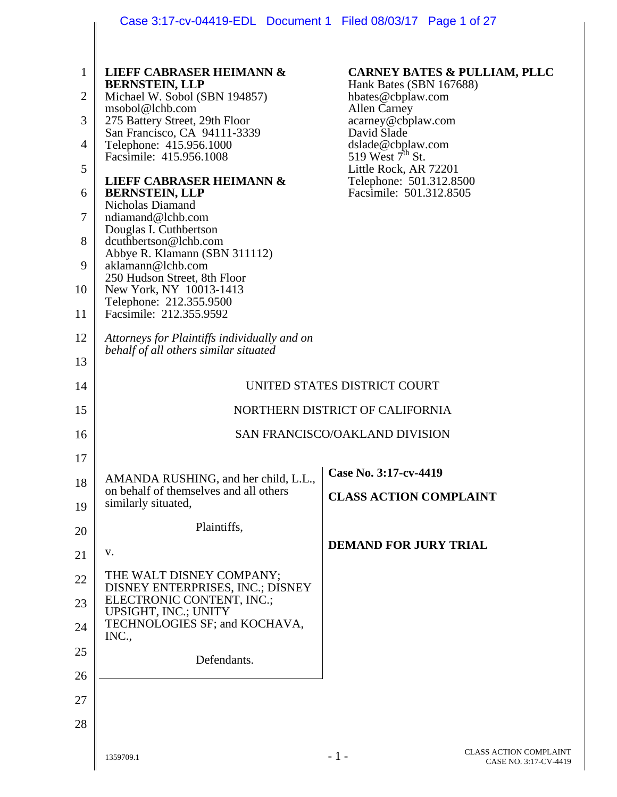|                | Case 3:17-cv-04419-EDL Document 1 Filed 08/03/17 Page 1 of 27                         |                                                                    |
|----------------|---------------------------------------------------------------------------------------|--------------------------------------------------------------------|
|                |                                                                                       |                                                                    |
| $\mathbf{1}$   | <b>LIEFF CABRASER HEIMANN &amp;</b><br><b>BERNSTEIN, LLP</b>                          | <b>CARNEY BATES &amp; PULLIAM, PLLC</b><br>Hank Bates (SBN 167688) |
| $\overline{2}$ | Michael W. Sobol (SBN 194857)<br>msobol@lchb.com                                      | hbates@cbplaw.com<br><b>Allen Carney</b>                           |
| 3              | 275 Battery Street, 29th Floor<br>San Francisco, CA 94111-3339                        | acarney@cbplaw.com<br>David Slade                                  |
| $\overline{4}$ | Telephone: 415.956.1000<br>Facsimile: 415.956.1008                                    | dslade@cbplaw.com<br>519 West $7^{\text{th}}$ St.                  |
| 5              | <b>LIEFF CABRASER HEIMANN &amp;</b>                                                   | Little Rock, AR 72201<br>Telephone: 501.312.8500                   |
| 6              | <b>BERNSTEIN, LLP</b><br>Nicholas Diamand                                             | Facsimile: 501.312.8505                                            |
| $\overline{7}$ | ndiamand@lchb.com<br>Douglas I. Cuthbertson                                           |                                                                    |
| 8              | dcuthbertson@lchb.com<br>Abbye R. Klamann (SBN 311112)                                |                                                                    |
| 9              | aklamann@lchb.com<br>250 Hudson Street, 8th Floor                                     |                                                                    |
| 10             | New York, NY 10013-1413<br>Telephone: 212.355.9500                                    |                                                                    |
| 11             | Facsimile: 212.355.9592                                                               |                                                                    |
| 12             | Attorneys for Plaintiffs individually and on<br>behalf of all others similar situated |                                                                    |
| 13             |                                                                                       |                                                                    |
| 14             | UNITED STATES DISTRICT COURT                                                          |                                                                    |
| 15             | NORTHERN DISTRICT OF CALIFORNIA                                                       |                                                                    |
| 16             |                                                                                       | SAN FRANCISCO/OAKLAND DIVISION                                     |
| 17             |                                                                                       | Case No. 3:17-cv-4419                                              |
| 18             | AMANDA RUSHING, and her child, L.L.,<br>on behalf of themselves and all others        | <b>CLASS ACTION COMPLAINT</b>                                      |
| 19             | similarly situated,                                                                   |                                                                    |
| 20             | Plaintiffs,                                                                           | <b>DEMAND FOR JURY TRIAL</b>                                       |
| 21             | V.                                                                                    |                                                                    |
| 22             | THE WALT DISNEY COMPANY;<br>DISNEY ENTERPRISES, INC.; DISNEY                          |                                                                    |
| 23             | ELECTRONIC CONTENT, INC.;<br>UPSIGHT, INC.; UNITY                                     |                                                                    |
| 24             | TECHNOLOGIES SF; and KOCHAVA,<br>INC.,                                                |                                                                    |
| 25             | Defendants.                                                                           |                                                                    |
| 26             |                                                                                       |                                                                    |
| 27             |                                                                                       |                                                                    |
| 28             |                                                                                       |                                                                    |
|                | 1359709.1                                                                             | <b>CLASS ACTION COMPLAINT</b><br>$-1-$<br>CASE NO. 3:17-CV-4419    |

I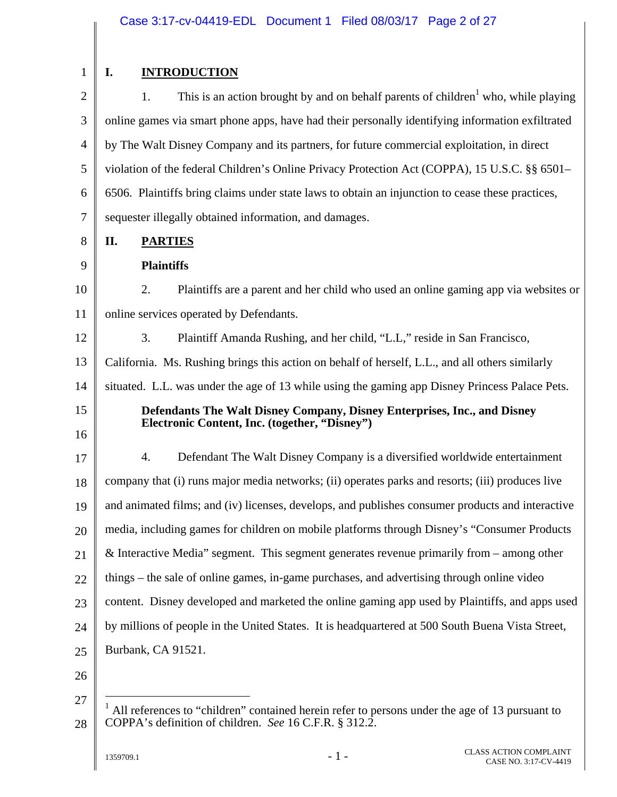| $\mathbf{1}$   |
|----------------|
| $\overline{c}$ |
| 3              |
| $\overline{4}$ |
|                |

8

9

## **I. INTRODUCTION**

2 3 4 5 6 7 1. This is an action brought by and on behalf parents of children<sup>1</sup> who, while playing online games via smart phone apps, have had their personally identifying information exfiltrated by The Walt Disney Company and its partners, for future commercial exploitation, in direct violation of the federal Children's Online Privacy Protection Act (COPPA), 15 U.S.C. §§ 6501– 6506. Plaintiffs bring claims under state laws to obtain an injunction to cease these practices, sequester illegally obtained information, and damages.

**II. PARTIES** 

### **Plaintiffs**

10 11 2. Plaintiffs are a parent and her child who used an online gaming app via websites or online services operated by Defendants.

12 13 14 3. Plaintiff Amanda Rushing, and her child, "L.L," reside in San Francisco, California. Ms. Rushing brings this action on behalf of herself, L.L., and all others similarly situated. L.L. was under the age of 13 while using the gaming app Disney Princess Palace Pets.

15

16

#### **Defendants The Walt Disney Company, Disney Enterprises, Inc., and Disney Electronic Content, Inc. (together, "Disney")**

17 18 19 20 21 22 23 24 25 4. Defendant The Walt Disney Company is a diversified worldwide entertainment company that (i) runs major media networks; (ii) operates parks and resorts; (iii) produces live and animated films; and (iv) licenses, develops, and publishes consumer products and interactive media, including games for children on mobile platforms through Disney's "Consumer Products & Interactive Media" segment. This segment generates revenue primarily from – among other things – the sale of online games, in-game purchases, and advertising through online video content. Disney developed and marketed the online gaming app used by Plaintiffs, and apps used by millions of people in the United States. It is headquartered at 500 South Buena Vista Street, Burbank, CA 91521.

- 26
- 

 $\overline{a}$ 

<sup>27</sup>  28 <sup>1</sup> All references to "children" contained herein refer to persons under the age of 13 pursuant to COPPA's definition of children. *See* 16 C.F.R. § 312.2.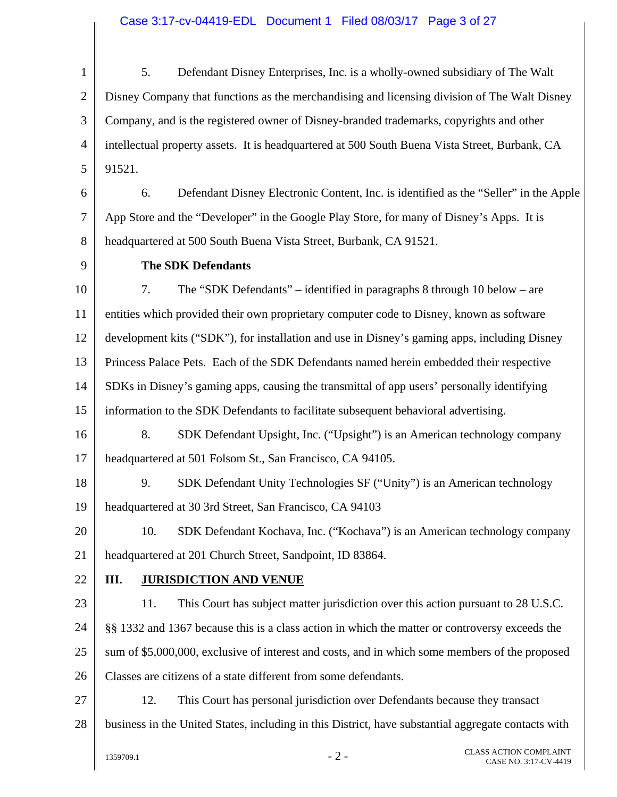1 2 3 4 5 5. Defendant Disney Enterprises, Inc. is a wholly-owned subsidiary of The Walt Disney Company that functions as the merchandising and licensing division of The Walt Disney Company, and is the registered owner of Disney-branded trademarks, copyrights and other intellectual property assets. It is headquartered at 500 South Buena Vista Street, Burbank, CA 91521.

6 7 8 6. Defendant Disney Electronic Content, Inc. is identified as the "Seller" in the Apple App Store and the "Developer" in the Google Play Store, for many of Disney's Apps. It is headquartered at 500 South Buena Vista Street, Burbank, CA 91521.

9

## **The SDK Defendants**

10 11 12 13 14 15 7. The "SDK Defendants" – identified in paragraphs 8 through 10 below – are entities which provided their own proprietary computer code to Disney, known as software development kits ("SDK"), for installation and use in Disney's gaming apps, including Disney Princess Palace Pets. Each of the SDK Defendants named herein embedded their respective SDKs in Disney's gaming apps, causing the transmittal of app users' personally identifying information to the SDK Defendants to facilitate subsequent behavioral advertising.

16 17 8. SDK Defendant Upsight, Inc. ("Upsight") is an American technology company headquartered at 501 Folsom St., San Francisco, CA 94105.

18 19 9. SDK Defendant Unity Technologies SF ("Unity") is an American technology headquartered at 30 3rd Street, San Francisco, CA 94103

20 21 10. SDK Defendant Kochava, Inc. ("Kochava") is an American technology company headquartered at 201 Church Street, Sandpoint, ID 83864.

22

## **III. JURISDICTION AND VENUE**

23 24 25 26 11. This Court has subject matter jurisdiction over this action pursuant to 28 U.S.C. §§ 1332 and 1367 because this is a class action in which the matter or controversy exceeds the sum of \$5,000,000, exclusive of interest and costs, and in which some members of the proposed Classes are citizens of a state different from some defendants.

27

28

12. This Court has personal jurisdiction over Defendants because they transact business in the United States, including in this District, have substantial aggregate contacts with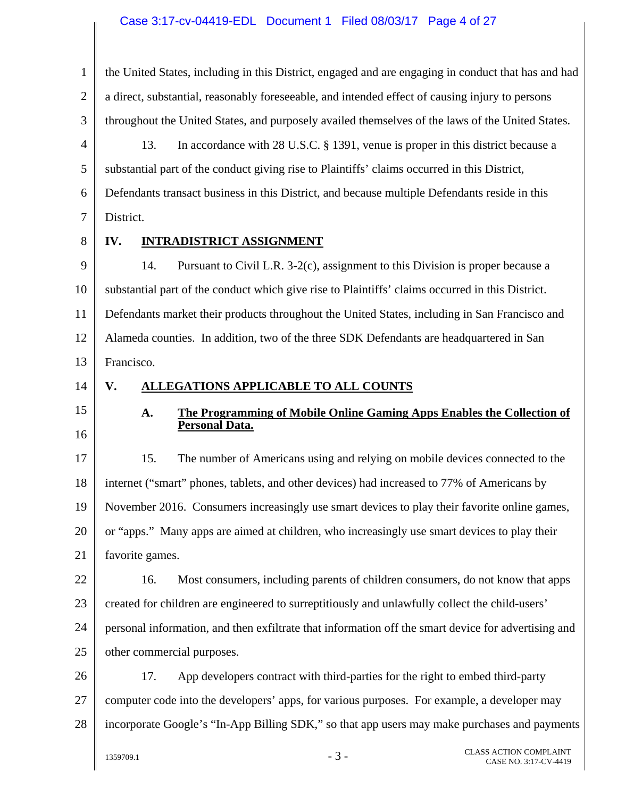## Case 3:17-cv-04419-EDL Document 1 Filed 08/03/17 Page 4 of 27

| $\mathbf{1}$   | the United States, including in this District, engaged and are engaging in conduct that has and had |
|----------------|-----------------------------------------------------------------------------------------------------|
| $\overline{2}$ | a direct, substantial, reasonably foreseeable, and intended effect of causing injury to persons     |
| 3              | throughout the United States, and purposely availed themselves of the laws of the United States.    |
| 4              | 13.<br>In accordance with 28 U.S.C. § 1391, venue is proper in this district because a              |
| 5              | substantial part of the conduct giving rise to Plaintiffs' claims occurred in this District,        |
| 6              | Defendants transact business in this District, and because multiple Defendants reside in this       |
| 7              | District.                                                                                           |
| 8              | <b>INTRADISTRICT ASSIGNMENT</b><br>IV.                                                              |
| 9              | 14.<br>Pursuant to Civil L.R. 3-2(c), assignment to this Division is proper because a               |
| 10             | substantial part of the conduct which give rise to Plaintiffs' claims occurred in this District.    |
| 11             | Defendants market their products throughout the United States, including in San Francisco and       |
| 12             | Alameda counties. In addition, two of the three SDK Defendants are headquartered in San             |
| 13             | Francisco.                                                                                          |
| 14             | <b>ALLEGATIONS APPLICABLE TO ALL COUNTS</b><br>V.                                                   |
| 15             | The Programming of Mobile Online Gaming Apps Enables the Collection of<br>A.                        |
| 16             | <b>Personal Data.</b>                                                                               |
| 17             | 15.<br>The number of Americans using and relying on mobile devices connected to the                 |
| 18             | internet ("smart" phones, tablets, and other devices) had increased to 77% of Americans by          |
| 19             | November 2016. Consumers increasingly use smart devices to play their favorite online games,        |
| 20             | or "apps." Many apps are aimed at children, who increasingly use smart devices to play their        |
| 21             | favorite games.                                                                                     |
| 22             | Most consumers, including parents of children consumers, do not know that apps<br>16.               |
| 23             | created for children are engineered to surreptitiously and unlawfully collect the child-users'      |
| 24             | personal information, and then exfiltrate that information off the smart device for advertising and |
| 25             | other commercial purposes.                                                                          |
| 26             | 17.<br>App developers contract with third-parties for the right to embed third-party                |
| 27             | computer code into the developers' apps, for various purposes. For example, a developer may         |
| 28             | incorporate Google's "In-App Billing SDK," so that app users may make purchases and payments        |
|                | <b>CLASS ACTION COMPLAINT</b><br>$-3-$<br>1359709.1<br>CASE NO. 3:17-CV-4419                        |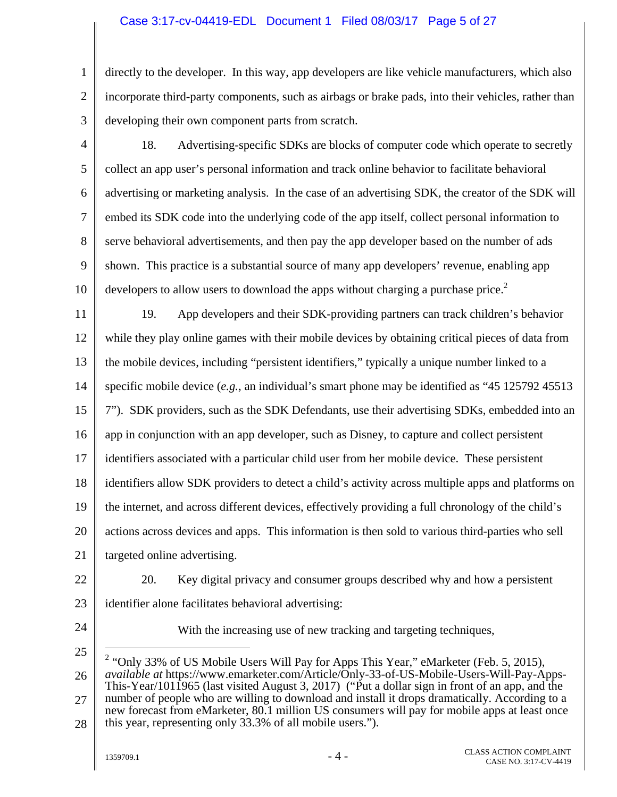#### Case 3:17-cv-04419-EDL Document 1 Filed 08/03/17 Page 5 of 27

1 2 3 directly to the developer. In this way, app developers are like vehicle manufacturers, which also incorporate third-party components, such as airbags or brake pads, into their vehicles, rather than developing their own component parts from scratch.

4 5 6 7 8 9 10 18. Advertising-specific SDKs are blocks of computer code which operate to secretly collect an app user's personal information and track online behavior to facilitate behavioral advertising or marketing analysis. In the case of an advertising SDK, the creator of the SDK will embed its SDK code into the underlying code of the app itself, collect personal information to serve behavioral advertisements, and then pay the app developer based on the number of ads shown. This practice is a substantial source of many app developers' revenue, enabling app developers to allow users to download the apps without charging a purchase price.<sup>2</sup>

11 12 13 14 15 16 17 18 19 20 21 22 23 19. App developers and their SDK-providing partners can track children's behavior while they play online games with their mobile devices by obtaining critical pieces of data from the mobile devices, including "persistent identifiers," typically a unique number linked to a specific mobile device (*e.g.*, an individual's smart phone may be identified as "45 125792 45513 7"). SDK providers, such as the SDK Defendants, use their advertising SDKs, embedded into an app in conjunction with an app developer, such as Disney, to capture and collect persistent identifiers associated with a particular child user from her mobile device. These persistent identifiers allow SDK providers to detect a child's activity across multiple apps and platforms on the internet, and across different devices, effectively providing a full chronology of the child's actions across devices and apps. This information is then sold to various third-parties who sell targeted online advertising. 20. Key digital privacy and consumer groups described why and how a persistent identifier alone facilitates behavioral advertising:

24

With the increasing use of new tracking and targeting techniques,

<sup>25</sup>  26 27  $\overline{a}$ <sup>2</sup> "Only 33% of US Mobile Users Will Pay for Apps This Year," eMarketer (Feb. 5, 2015), *available at* https://www.emarketer.com/Article/Only-33-of-US-Mobile-Users-Will-Pay-Apps-This-Year/1011965 (last visited August 3, 2017) ("Put a dollar sign in front of an app, and the number of people who are willing to download and install it drops dramatically. According to a new forecast from eMarketer, 80.1 million US consumers will pay for mobile apps at least once

<sup>28</sup>  this year, representing only 33.3% of all mobile users.").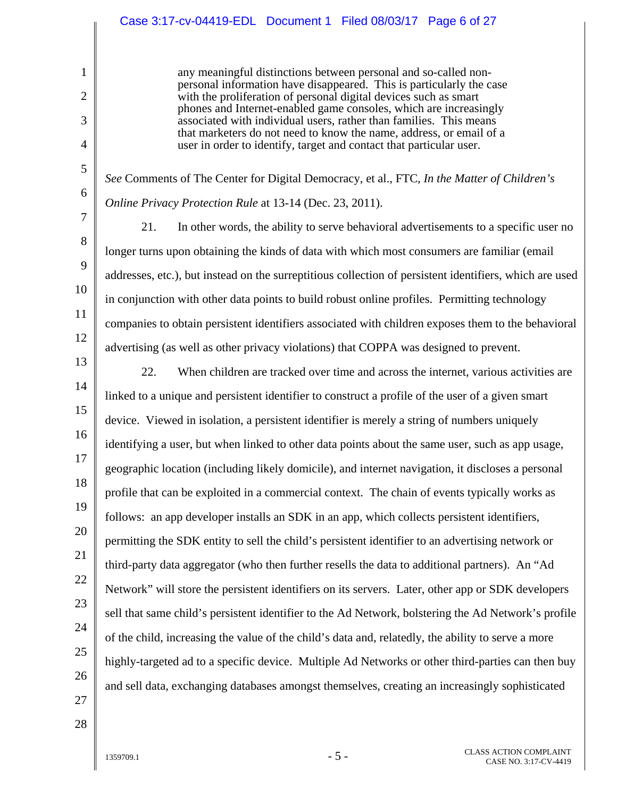|                                                                                         | Case 3:17-cv-04419-EDL Document 1 Filed 08/03/17 Page 6 of 27                                                                                                                                                                                                                                                                                                                                                                                                                                                                                                                                                                                                                                                                                                                                                                                                                                                                                                                                                                                                                                                                                                                                                                                                                                                                                                                                                                                                            |
|-----------------------------------------------------------------------------------------|--------------------------------------------------------------------------------------------------------------------------------------------------------------------------------------------------------------------------------------------------------------------------------------------------------------------------------------------------------------------------------------------------------------------------------------------------------------------------------------------------------------------------------------------------------------------------------------------------------------------------------------------------------------------------------------------------------------------------------------------------------------------------------------------------------------------------------------------------------------------------------------------------------------------------------------------------------------------------------------------------------------------------------------------------------------------------------------------------------------------------------------------------------------------------------------------------------------------------------------------------------------------------------------------------------------------------------------------------------------------------------------------------------------------------------------------------------------------------|
| 1<br>$\overline{2}$<br>3<br>$\overline{4}$                                              | any meaningful distinctions between personal and so-called non-<br>personal information have disappeared. This is particularly the case<br>with the proliferation of personal digital devices such as smart<br>phones and Internet-enabled game consoles, which are increasingly<br>associated with individual users, rather than families. This means<br>that marketers do not need to know the name, address, or email of a<br>user in order to identify, target and contact that particular user.                                                                                                                                                                                                                                                                                                                                                                                                                                                                                                                                                                                                                                                                                                                                                                                                                                                                                                                                                                     |
| 5<br>6<br>7<br>8<br>9<br>10<br>11<br>12<br>13<br>14<br>15<br>16<br>17<br>18<br>19<br>20 | See Comments of The Center for Digital Democracy, et al., FTC, In the Matter of Children's<br>Online Privacy Protection Rule at 13-14 (Dec. 23, 2011).<br>21.<br>In other words, the ability to serve behavioral advertisements to a specific user no<br>longer turns upon obtaining the kinds of data with which most consumers are familiar (email<br>addresses, etc.), but instead on the surreptitious collection of persistent identifiers, which are used<br>in conjunction with other data points to build robust online profiles. Permitting technology<br>companies to obtain persistent identifiers associated with children exposes them to the behavioral<br>advertising (as well as other privacy violations) that COPPA was designed to prevent.<br>22.<br>When children are tracked over time and across the internet, various activities are<br>linked to a unique and persistent identifier to construct a profile of the user of a given smart<br>device. Viewed in isolation, a persistent identifier is merely a string of numbers uniquely<br>identifying a user, but when linked to other data points about the same user, such as app usage,<br>geographic location (including likely domicile), and internet navigation, it discloses a personal<br>profile that can be exploited in a commercial context. The chain of events typically works as<br>follows: an app developer installs an SDK in an app, which collects persistent identifiers, |
| 21<br>22<br>23<br>24<br>25<br>26<br>27                                                  | permitting the SDK entity to sell the child's persistent identifier to an advertising network or<br>third-party data aggregator (who then further resells the data to additional partners). An "Ad<br>Network" will store the persistent identifiers on its servers. Later, other app or SDK developers<br>sell that same child's persistent identifier to the Ad Network, bolstering the Ad Network's profile<br>of the child, increasing the value of the child's data and, relatedly, the ability to serve a more<br>highly-targeted ad to a specific device. Multiple Ad Networks or other third-parties can then buy<br>and sell data, exchanging databases amongst themselves, creating an increasingly sophisticated                                                                                                                                                                                                                                                                                                                                                                                                                                                                                                                                                                                                                                                                                                                                              |
|                                                                                         |                                                                                                                                                                                                                                                                                                                                                                                                                                                                                                                                                                                                                                                                                                                                                                                                                                                                                                                                                                                                                                                                                                                                                                                                                                                                                                                                                                                                                                                                          |

28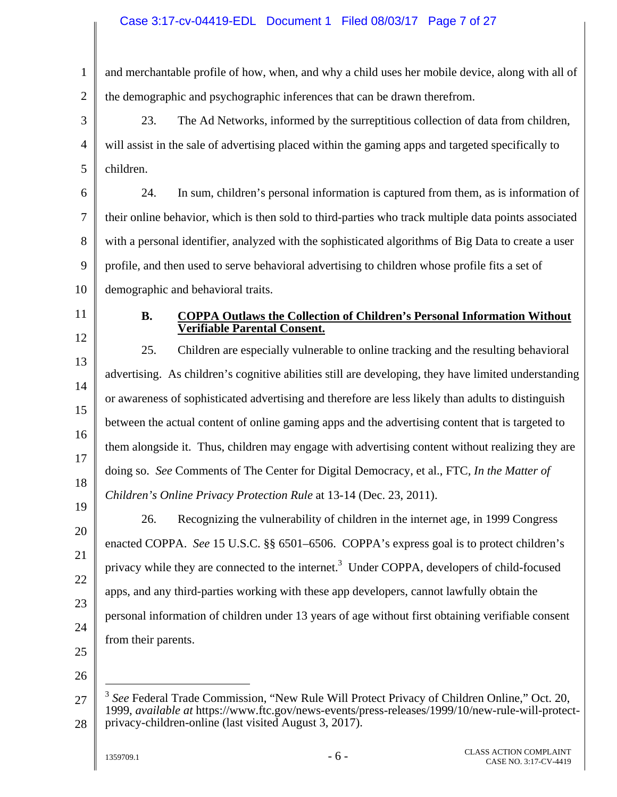#### Case 3:17-cv-04419-EDL Document 1 Filed 08/03/17 Page 7 of 27

1 2 3 4 5 6 7 8 9 10 11 12 13 14 15 16 17 18 19 20 21 22 23 24 25 26 and merchantable profile of how, when, and why a child uses her mobile device, along with all of the demographic and psychographic inferences that can be drawn therefrom. 23. The Ad Networks, informed by the surreptitious collection of data from children, will assist in the sale of advertising placed within the gaming apps and targeted specifically to children. 24. In sum, children's personal information is captured from them, as is information of their online behavior, which is then sold to third-parties who track multiple data points associated with a personal identifier, analyzed with the sophisticated algorithms of Big Data to create a user profile, and then used to serve behavioral advertising to children whose profile fits a set of demographic and behavioral traits. **B. COPPA Outlaws the Collection of Children's Personal Information Without Verifiable Parental Consent.**  25. Children are especially vulnerable to online tracking and the resulting behavioral advertising. As children's cognitive abilities still are developing, they have limited understanding or awareness of sophisticated advertising and therefore are less likely than adults to distinguish between the actual content of online gaming apps and the advertising content that is targeted to them alongside it. Thus, children may engage with advertising content without realizing they are doing so. *See* Comments of The Center for Digital Democracy, et al., FTC*, In the Matter of Children's Online Privacy Protection Rule* at 13-14 (Dec. 23, 2011). 26. Recognizing the vulnerability of children in the internet age, in 1999 Congress enacted COPPA. *See* 15 U.S.C. §§ 6501–6506. COPPA's express goal is to protect children's privacy while they are connected to the internet.<sup>3</sup> Under COPPA, developers of child-focused apps, and any third-parties working with these app developers, cannot lawfully obtain the personal information of children under 13 years of age without first obtaining verifiable consent from their parents.  $\overline{a}$ 

<sup>27</sup>  28 <sup>3</sup> *See* Federal Trade Commission, "New Rule Will Protect Privacy of Children Online," Oct. 20, 1999, *available at* https://www.ftc.gov/news-events/press-releases/1999/10/new-rule-will-protectprivacy-children-online (last visited August 3, 2017).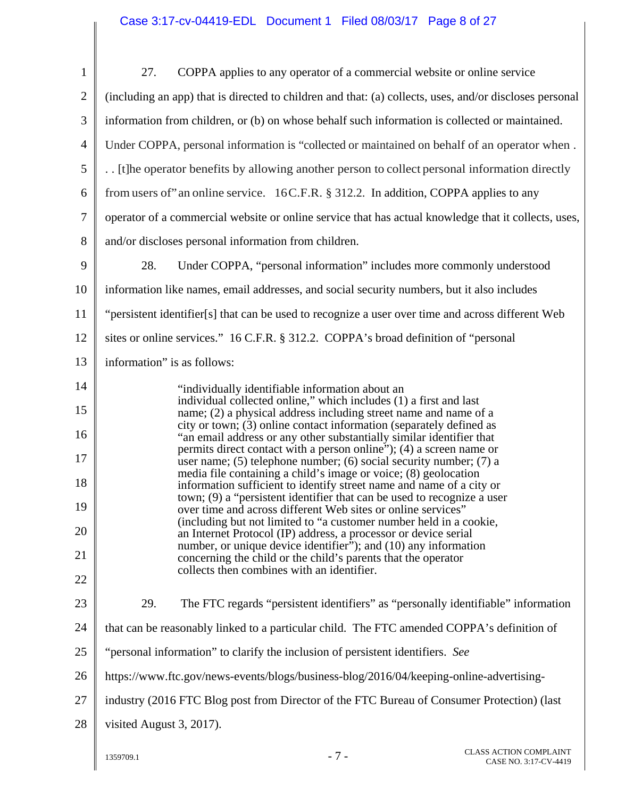| $\mathbf{1}$   | 27.<br>COPPA applies to any operator of a commercial website or online service                                                                                                 |
|----------------|--------------------------------------------------------------------------------------------------------------------------------------------------------------------------------|
| $\overline{2}$ | (including an app) that is directed to children and that: (a) collects, uses, and/or discloses personal                                                                        |
| 3              | information from children, or (b) on whose behalf such information is collected or maintained.                                                                                 |
| $\overline{4}$ | Under COPPA, personal information is "collected or maintained on behalf of an operator when.                                                                                   |
| 5              | [t] he operator benefits by allowing another person to collect personal information directly                                                                                   |
| 6              | from users of "an online service. 16C.F.R. § 312.2. In addition, COPPA applies to any                                                                                          |
| 7              | operator of a commercial website or online service that has actual knowledge that it collects, uses,                                                                           |
| 8              | and/or discloses personal information from children.                                                                                                                           |
| 9              | 28.<br>Under COPPA, "personal information" includes more commonly understood                                                                                                   |
| 10             | information like names, email addresses, and social security numbers, but it also includes                                                                                     |
| 11             | "persistent identifier[s] that can be used to recognize a user over time and across different Web                                                                              |
| 12             | sites or online services." 16 C.F.R. § 312.2. COPPA's broad definition of "personal                                                                                            |
| 13             | information" is as follows:                                                                                                                                                    |
| 14             | "individually identifiable information about an                                                                                                                                |
| 15             | individual collected online," which includes (1) a first and last<br>name; (2) a physical address including street name and name of a                                          |
| 16             | city or town; (3) online contact information (separately defined as<br>"an email address or any other substantially similar identifier that                                    |
| 17             | permits direct contact with a person online"); (4) a screen name or<br>user name; (5) telephone number; (6) social security number; (7) a                                      |
| 18             | media file containing a child's image or voice; (8) geolocation<br>information sufficient to identify street name and name of a city or                                        |
| 19             | town; (9) a "persistent identifier that can be used to recognize a user<br>over time and across different Web sites or online services"                                        |
| 20             | (including but not limited to "a customer number held in a cookie,<br>an Internet Protocol (IP) address, a processor or device serial                                          |
| 21             | number, or unique device identifier"); and (10) any information<br>concerning the child or the child's parents that the operator<br>collects then combines with an identifier. |
| 22             |                                                                                                                                                                                |
| 23             | 29.<br>The FTC regards "persistent identifiers" as "personally identifiable" information                                                                                       |
| 24             | that can be reasonably linked to a particular child. The FTC amended COPPA's definition of                                                                                     |
| 25             | "personal information" to clarify the inclusion of persistent identifiers. See                                                                                                 |
| 26             | https://www.ftc.gov/news-events/blogs/business-blog/2016/04/keeping-online-advertising-                                                                                        |
| 27             | industry (2016 FTC Blog post from Director of the FTC Bureau of Consumer Protection) (last                                                                                     |
| 28             | visited August 3, 2017).                                                                                                                                                       |
|                |                                                                                                                                                                                |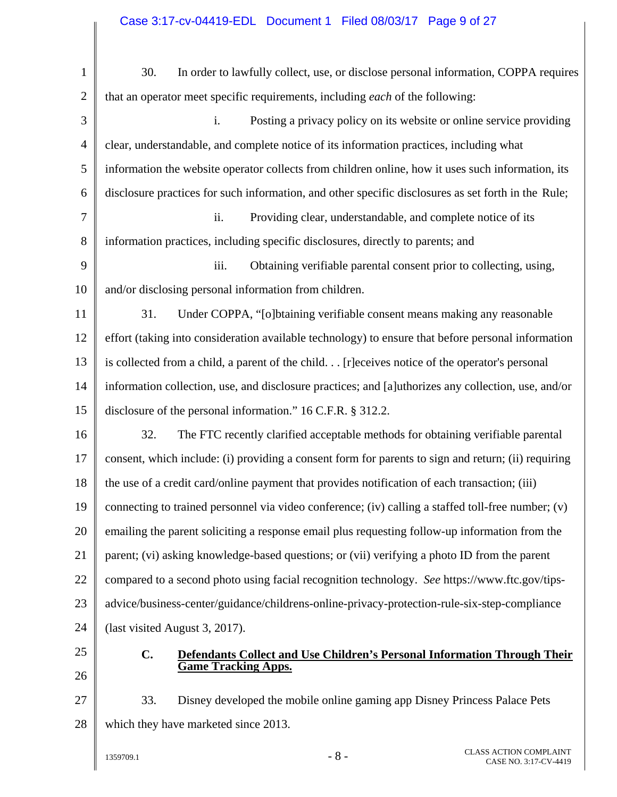1 2 3 4 5 6 7 8 9 10 11 12 13 14 15 16 17 18 19 20 21 22 23 24 25 26 27 28 30. In order to lawfully collect, use, or disclose personal information, COPPA requires that an operator meet specific requirements, including *each* of the following: i. Posting a privacy policy on its website or online service providing clear, understandable, and complete notice of its information practices, including what information the website operator collects from children online, how it uses such information, its disclosure practices for such information, and other specific disclosures as set forth in the Rule; ii. Providing clear, understandable, and complete notice of its information practices, including specific disclosures, directly to parents; and iii. Obtaining verifiable parental consent prior to collecting, using, and/or disclosing personal information from children. 31. Under COPPA, "[o]btaining verifiable consent means making any reasonable effort (taking into consideration available technology) to ensure that before personal information is collected from a child, a parent of the child. . . [r]eceives notice of the operator's personal information collection, use, and disclosure practices; and [a]uthorizes any collection, use, and/or disclosure of the personal information." 16 C.F.R. § 312.2. 32. The FTC recently clarified acceptable methods for obtaining verifiable parental consent, which include: (i) providing a consent form for parents to sign and return; (ii) requiring the use of a credit card/online payment that provides notification of each transaction; (iii) connecting to trained personnel via video conference; (iv) calling a staffed toll-free number; (v) emailing the parent soliciting a response email plus requesting follow-up information from the parent; (vi) asking knowledge-based questions; or (vii) verifying a photo ID from the parent compared to a second photo using facial recognition technology. *See* https://www.ftc.gov/tipsadvice/business-center/guidance/childrens-online-privacy-protection-rule-six-step-compliance (last visited August 3, 2017). **C. Defendants Collect and Use Children's Personal Information Through Their Game Tracking Apps.**  33. Disney developed the mobile online gaming app Disney Princess Palace Pets which they have marketed since 2013.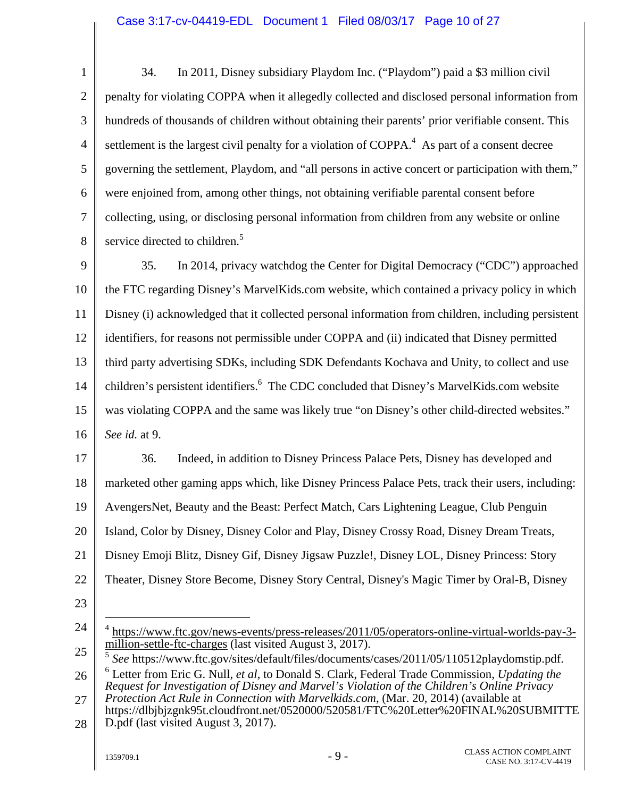1 2 3 4 5 6 7 8 9 34. In 2011, Disney subsidiary Playdom Inc. ("Playdom") paid a \$3 million civil penalty for violating COPPA when it allegedly collected and disclosed personal information from hundreds of thousands of children without obtaining their parents' prior verifiable consent. This settlement is the largest civil penalty for a violation of COPPA. $4$  As part of a consent decree governing the settlement, Playdom, and "all persons in active concert or participation with them," were enjoined from, among other things, not obtaining verifiable parental consent before collecting, using, or disclosing personal information from children from any website or online service directed to children.<sup>5</sup> 35. In 2014, privacy watchdog the Center for Digital Democracy ("CDC") approached

10 11 12 13 14 15 16 the FTC regarding Disney's MarvelKids.com website, which contained a privacy policy in which Disney (i) acknowledged that it collected personal information from children, including persistent identifiers, for reasons not permissible under COPPA and (ii) indicated that Disney permitted third party advertising SDKs, including SDK Defendants Kochava and Unity, to collect and use children's persistent identifiers.<sup>6</sup> The CDC concluded that Disney's MarvelKids.com website was violating COPPA and the same was likely true "on Disney's other child-directed websites." *See id.* at 9.

17 18 19 20 21 22 36. Indeed, in addition to Disney Princess Palace Pets, Disney has developed and marketed other gaming apps which, like Disney Princess Palace Pets, track their users, including: AvengersNet, Beauty and the Beast: Perfect Match, Cars Lightening League, Club Penguin Island, Color by Disney, Disney Color and Play, Disney Crossy Road, Disney Dream Treats, Disney Emoji Blitz, Disney Gif, Disney Jigsaw Puzzle!, Disney LOL, Disney Princess: Story Theater, Disney Store Become, Disney Story Central, Disney's Magic Timer by Oral-B, Disney

- 23
- 24 25  $\overline{a}$ 4 https://www.ftc.gov/news-events/press-releases/2011/05/operators-online-virtual-worlds-pay-3 million-settle-ftc-charges (last visited August 3, 2017).
- 26 <sup>5</sup> *See* https://www.ftc.gov/sites/default/files/documents/cases/2011/05/110512playdomstip.pdf. 6 Letter from Eric G. Null, *et al*, to Donald S. Clark, Federal Trade Commission, *Updating the Request for Investigation of Disney and Marvel's Violation of the Children's Online Privacy*
- 27 28 *Protection Act Rule in Connection with Marvelkids.com*, (Mar. 20, 2014) (available at https://dlbjbjzgnk95t.cloudfront.net/0520000/520581/FTC%20Letter%20FINAL%20SUBMITTE D.pdf (last visited August 3, 2017).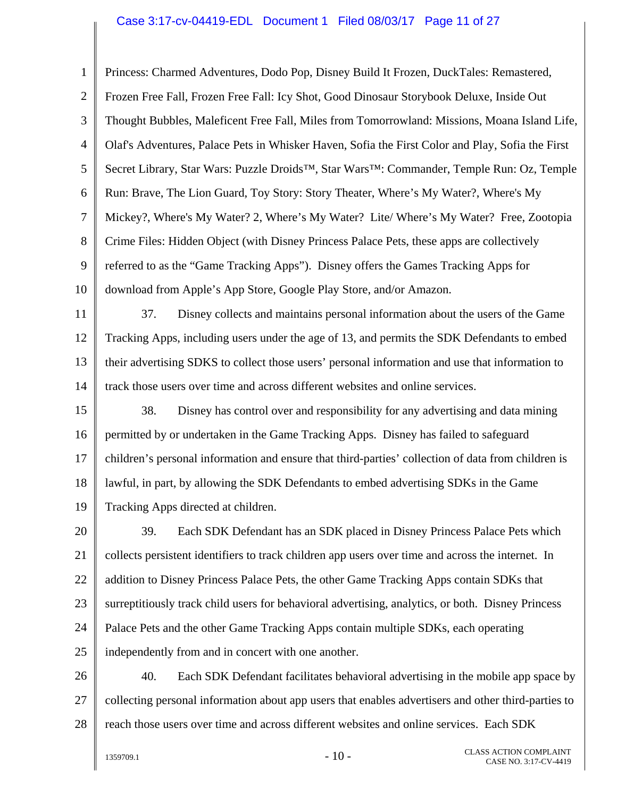#### Case 3:17-cv-04419-EDL Document 1 Filed 08/03/17 Page 11 of 27

1 2 3 4 5 6 7 8 9 10 Princess: Charmed Adventures, Dodo Pop, Disney Build It Frozen, DuckTales: Remastered, Frozen Free Fall, Frozen Free Fall: Icy Shot, Good Dinosaur Storybook Deluxe, Inside Out Thought Bubbles, Maleficent Free Fall, Miles from Tomorrowland: Missions, Moana Island Life, Olaf's Adventures, Palace Pets in Whisker Haven, Sofia the First Color and Play, Sofia the First Secret Library, Star Wars: Puzzle Droids™, Star Wars™: Commander, Temple Run: Oz, Temple Run: Brave, The Lion Guard, Toy Story: Story Theater, Where's My Water?, Where's My Mickey?, Where's My Water? 2, Where's My Water? Lite/ Where's My Water? Free, Zootopia Crime Files: Hidden Object (with Disney Princess Palace Pets, these apps are collectively referred to as the "Game Tracking Apps"). Disney offers the Games Tracking Apps for download from Apple's App Store, Google Play Store, and/or Amazon.

11 12 13 14 37. Disney collects and maintains personal information about the users of the Game Tracking Apps, including users under the age of 13, and permits the SDK Defendants to embed their advertising SDKS to collect those users' personal information and use that information to track those users over time and across different websites and online services.

15 16 17 18 19 38. Disney has control over and responsibility for any advertising and data mining permitted by or undertaken in the Game Tracking Apps. Disney has failed to safeguard children's personal information and ensure that third-parties' collection of data from children is lawful, in part, by allowing the SDK Defendants to embed advertising SDKs in the Game Tracking Apps directed at children.

20 21 22 23 24 25 39. Each SDK Defendant has an SDK placed in Disney Princess Palace Pets which collects persistent identifiers to track children app users over time and across the internet. In addition to Disney Princess Palace Pets, the other Game Tracking Apps contain SDKs that surreptitiously track child users for behavioral advertising, analytics, or both. Disney Princess Palace Pets and the other Game Tracking Apps contain multiple SDKs, each operating independently from and in concert with one another.

26 27 28 40. Each SDK Defendant facilitates behavioral advertising in the mobile app space by collecting personal information about app users that enables advertisers and other third-parties to reach those users over time and across different websites and online services. Each SDK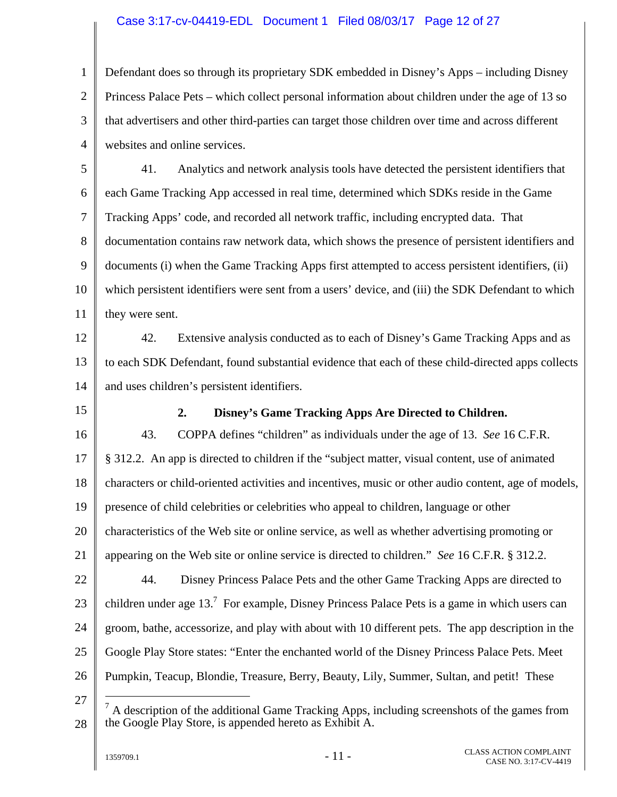#### Case 3:17-cv-04419-EDL Document 1 Filed 08/03/17 Page 12 of 27

1 2 3 4 Defendant does so through its proprietary SDK embedded in Disney's Apps – including Disney Princess Palace Pets – which collect personal information about children under the age of 13 so that advertisers and other third-parties can target those children over time and across different websites and online services.

5 6 7 8 9 10 11 41. Analytics and network analysis tools have detected the persistent identifiers that each Game Tracking App accessed in real time, determined which SDKs reside in the Game Tracking Apps' code, and recorded all network traffic, including encrypted data. That documentation contains raw network data, which shows the presence of persistent identifiers and documents (i) when the Game Tracking Apps first attempted to access persistent identifiers, (ii) which persistent identifiers were sent from a users' device, and (iii) the SDK Defendant to which they were sent.

12 13 14 42. Extensive analysis conducted as to each of Disney's Game Tracking Apps and as to each SDK Defendant, found substantial evidence that each of these child-directed apps collects and uses children's persistent identifiers.

15

#### **2. Disney's Game Tracking Apps Are Directed to Children.**

16 17 18 19 20 21 22 23 24 25 26 43. COPPA defines "children" as individuals under the age of 13. *See* 16 C.F.R. § 312.2. An app is directed to children if the "subject matter, visual content, use of animated characters or child-oriented activities and incentives, music or other audio content, age of models, presence of child celebrities or celebrities who appeal to children, language or other characteristics of the Web site or online service, as well as whether advertising promoting or appearing on the Web site or online service is directed to children." *See* 16 C.F.R. § 312.2. 44. Disney Princess Palace Pets and the other Game Tracking Apps are directed to children under age  $13<sup>7</sup>$  For example, Disney Princess Palace Pets is a game in which users can groom, bathe, accessorize, and play with about with 10 different pets. The app description in the Google Play Store states: "Enter the enchanted world of the Disney Princess Palace Pets. Meet Pumpkin, Teacup, Blondie, Treasure, Berry, Beauty, Lily, Summer, Sultan, and petit! These

 $\overline{a}$ 

<sup>27</sup>  28  $<sup>7</sup>$  A description of the additional Game Tracking Apps, including screenshots of the games from</sup> the Google Play Store, is appended hereto as Exhibit A.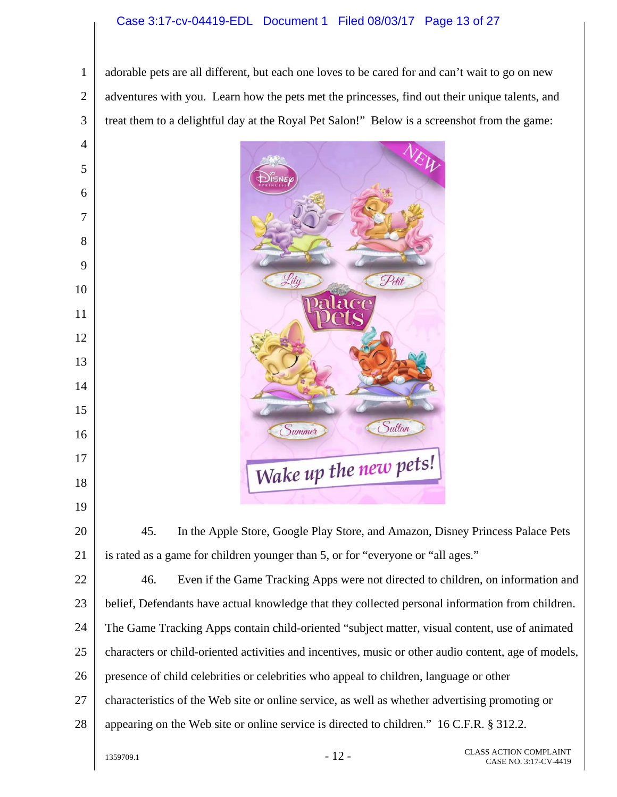#### Case 3:17-cv-04419-EDL Document 1 Filed 08/03/17 Page 13 of 27

2 3 adorable pets are all different, but each one loves to be cared for and can't wait to go on new adventures with you. Learn how the pets met the princesses, find out their unique talents, and treat them to a delightful day at the Royal Pet Salon!" Below is a screenshot from the game:

Petit Lily Sultan Summer Wake up the new pets!

45. In the Apple Store, Google Play Store, and Amazon, Disney Princess Palace Pets is rated as a game for children younger than 5, or for "everyone or "all ages."

22 23 24 25 26 27 28 46. Even if the Game Tracking Apps were not directed to children, on information and belief, Defendants have actual knowledge that they collected personal information from children. The Game Tracking Apps contain child-oriented "subject matter, visual content, use of animated characters or child-oriented activities and incentives, music or other audio content, age of models, presence of child celebrities or celebrities who appeal to children, language or other characteristics of the Web site or online service, as well as whether advertising promoting or appearing on the Web site or online service is directed to children." 16 C.F.R. § 312.2.

1

4

5

6

7

8

9

10

11

12

13

14

15

16

17

18

19

20

21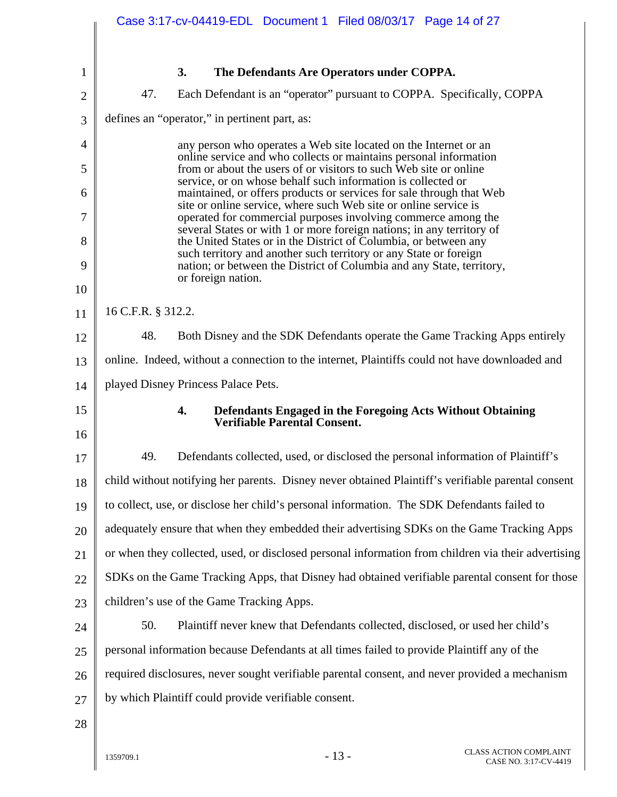|                | Case 3:17-cv-04419-EDL Document 1 Filed 08/03/17 Page 14 of 27                                                                             |
|----------------|--------------------------------------------------------------------------------------------------------------------------------------------|
|                |                                                                                                                                            |
| $\mathbf{1}$   | 3.<br>The Defendants Are Operators under COPPA.                                                                                            |
| $\overline{2}$ | 47.<br>Each Defendant is an "operator" pursuant to COPPA. Specifically, COPPA                                                              |
| 3              | defines an "operator," in pertinent part, as:                                                                                              |
| 4              | any person who operates a Web site located on the Internet or an                                                                           |
| 5              | online service and who collects or maintains personal information<br>from or about the users of or visitors to such Web site or online     |
| 6              | service, or on whose behalf such information is collected or<br>maintained, or offers products or services for sale through that Web       |
| 7              | site or online service, where such Web site or online service is<br>operated for commercial purposes involving commerce among the          |
| 8              | several States or with 1 or more foreign nations; in any territory of<br>the United States or in the District of Columbia, or between any  |
| 9              | such territory and another such territory or any State or foreign<br>nation; or between the District of Columbia and any State, territory, |
| 10             | or foreign nation.                                                                                                                         |
| 11             | 16 C.F.R. § 312.2.                                                                                                                         |
| 12             | 48.<br>Both Disney and the SDK Defendants operate the Game Tracking Apps entirely                                                          |
| 13             | online. Indeed, without a connection to the internet, Plaintiffs could not have downloaded and                                             |
| 14             | played Disney Princess Palace Pets.                                                                                                        |
| 15<br>16       | 4.<br>Defendants Engaged in the Foregoing Acts Without Obtaining<br><b>Verifiable Parental Consent.</b>                                    |
| 17             | 49.<br>Defendants collected, used, or disclosed the personal information of Plaintiff's                                                    |
| 18             | child without notifying her parents. Disney never obtained Plaintiff's verifiable parental consent                                         |
| 19             | to collect, use, or disclose her child's personal information. The SDK Defendants failed to                                                |
| 20             | adequately ensure that when they embedded their advertising SDKs on the Game Tracking Apps                                                 |
| 21             | or when they collected, used, or disclosed personal information from children via their advertising                                        |
| 22             | SDKs on the Game Tracking Apps, that Disney had obtained verifiable parental consent for those                                             |
| 23             | children's use of the Game Tracking Apps.                                                                                                  |
| 24             | 50.<br>Plaintiff never knew that Defendants collected, disclosed, or used her child's                                                      |
| 25             | personal information because Defendants at all times failed to provide Plaintiff any of the                                                |
| 26             | required disclosures, never sought verifiable parental consent, and never provided a mechanism                                             |
| 27             | by which Plaintiff could provide verifiable consent.                                                                                       |
| 28             |                                                                                                                                            |
|                |                                                                                                                                            |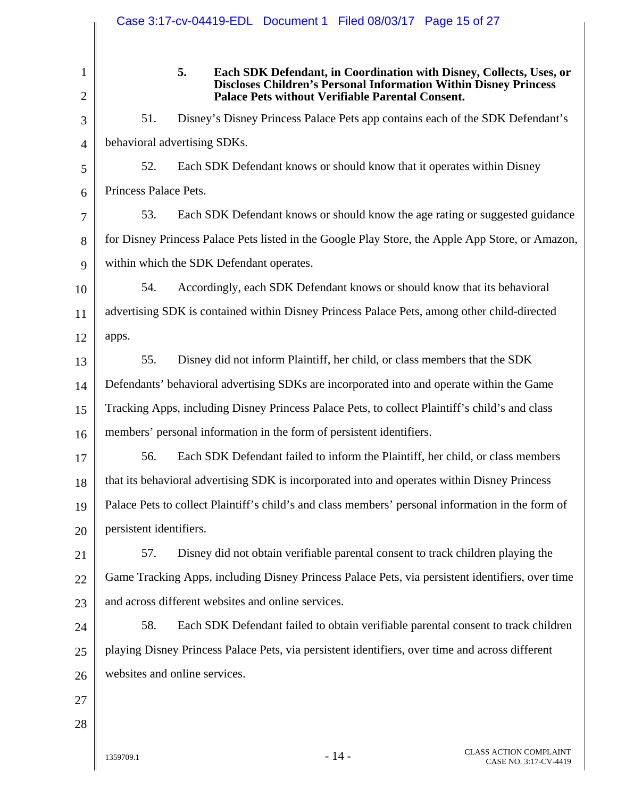|                     | Case 3:17-cv-04419-EDL Document 1 Filed 08/03/17 Page 15 of 27                                                                                                                                           |
|---------------------|----------------------------------------------------------------------------------------------------------------------------------------------------------------------------------------------------------|
| 1<br>$\overline{2}$ | 5.<br>Each SDK Defendant, in Coordination with Disney, Collects, Uses, or<br><b>Discloses Children's Personal Information Within Disney Princess</b><br>Palace Pets without Verifiable Parental Consent. |
| 3                   | 51.<br>Disney's Disney Princess Palace Pets app contains each of the SDK Defendant's                                                                                                                     |
| $\overline{4}$      | behavioral advertising SDKs.                                                                                                                                                                             |
| 5                   | 52.<br>Each SDK Defendant knows or should know that it operates within Disney                                                                                                                            |
| 6                   | Princess Palace Pets.                                                                                                                                                                                    |
| 7                   | 53.<br>Each SDK Defendant knows or should know the age rating or suggested guidance                                                                                                                      |
| 8                   | for Disney Princess Palace Pets listed in the Google Play Store, the Apple App Store, or Amazon,                                                                                                         |
| 9                   | within which the SDK Defendant operates.                                                                                                                                                                 |
| 10                  | 54.<br>Accordingly, each SDK Defendant knows or should know that its behavioral                                                                                                                          |
| 11                  | advertising SDK is contained within Disney Princess Palace Pets, among other child-directed                                                                                                              |
| 12                  | apps.                                                                                                                                                                                                    |
| 13                  | 55.<br>Disney did not inform Plaintiff, her child, or class members that the SDK                                                                                                                         |
| 14                  | Defendants' behavioral advertising SDKs are incorporated into and operate within the Game                                                                                                                |
| 15                  | Tracking Apps, including Disney Princess Palace Pets, to collect Plaintiff's child's and class                                                                                                           |
| 16                  | members' personal information in the form of persistent identifiers.                                                                                                                                     |
| 17                  | 56.<br>Each SDK Defendant failed to inform the Plaintiff, her child, or class members                                                                                                                    |
| 18                  | that its behavioral advertising SDK is incorporated into and operates within Disney Princess                                                                                                             |
| 19                  | Palace Pets to collect Plaintiff's child's and class members' personal information in the form of                                                                                                        |
| 20                  | persistent identifiers.                                                                                                                                                                                  |
| 21                  | Disney did not obtain verifiable parental consent to track children playing the<br>57.                                                                                                                   |
| 22                  | Game Tracking Apps, including Disney Princess Palace Pets, via persistent identifiers, over time                                                                                                         |
| 23                  | and across different websites and online services.                                                                                                                                                       |
| 24                  | 58.<br>Each SDK Defendant failed to obtain verifiable parental consent to track children                                                                                                                 |
| 25                  | playing Disney Princess Palace Pets, via persistent identifiers, over time and across different                                                                                                          |
| 26                  | websites and online services.                                                                                                                                                                            |
| 27                  |                                                                                                                                                                                                          |
| 28                  |                                                                                                                                                                                                          |
|                     |                                                                                                                                                                                                          |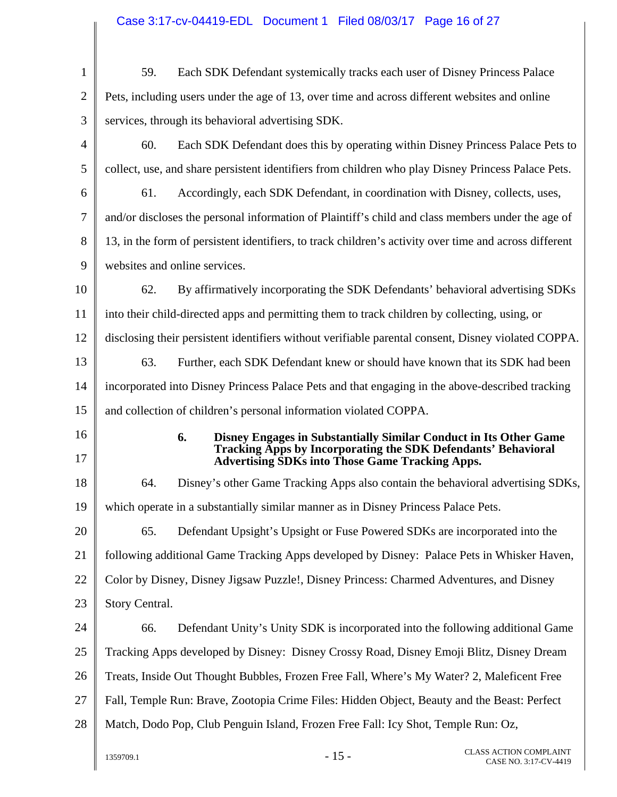| $\mathbf{1}$         | Each SDK Defendant systemically tracks each user of Disney Princess Palace<br>59.                                                        |
|----------------------|------------------------------------------------------------------------------------------------------------------------------------------|
| $\overline{2}$       | Pets, including users under the age of 13, over time and across different websites and online                                            |
| 3                    | services, through its behavioral advertising SDK.                                                                                        |
| 4                    | 60.<br>Each SDK Defendant does this by operating within Disney Princess Palace Pets to                                                   |
| 5                    | collect, use, and share persistent identifiers from children who play Disney Princess Palace Pets.                                       |
| 6                    | Accordingly, each SDK Defendant, in coordination with Disney, collects, uses,<br>61.                                                     |
| 7                    | and/or discloses the personal information of Plaintiff's child and class members under the age of                                        |
| 8                    | 13, in the form of persistent identifiers, to track children's activity over time and across different                                   |
| 9                    | websites and online services.                                                                                                            |
| 10                   | 62.<br>By affirmatively incorporating the SDK Defendants' behavioral advertising SDKs                                                    |
| 11                   | into their child-directed apps and permitting them to track children by collecting, using, or                                            |
| 12                   | disclosing their persistent identifiers without verifiable parental consent, Disney violated COPPA.                                      |
| 13                   | 63.<br>Further, each SDK Defendant knew or should have known that its SDK had been                                                       |
| 14                   | incorporated into Disney Princess Palace Pets and that engaging in the above-described tracking                                          |
| 15                   | and collection of children's personal information violated COPPA.                                                                        |
| 16                   | 6.<br>Disney Engages in Substantially Similar Conduct in Its Other Game<br>Tracking Apps by Incorporating the SDK Defendants' Behavioral |
| 17                   | <b>Advertising SDKs into Those Game Tracking Apps.</b>                                                                                   |
|                      |                                                                                                                                          |
| 18                   | Disney's other Game Tracking Apps also contain the behavioral advertising SDKs,<br>64.                                                   |
| 19                   | which operate in a substantially similar manner as in Disney Princess Palace Pets.                                                       |
| 20                   | 65.<br>Defendant Upsight's Upsight or Fuse Powered SDKs are incorporated into the                                                        |
|                      | following additional Game Tracking Apps developed by Disney: Palace Pets in Whisker Haven,                                               |
|                      | Color by Disney, Disney Jigsaw Puzzle!, Disney Princess: Charmed Adventures, and Disney                                                  |
|                      | Story Central.                                                                                                                           |
| 21<br>22<br>23<br>24 | Defendant Unity's Unity SDK is incorporated into the following additional Game<br>66.                                                    |
| 25                   | Tracking Apps developed by Disney: Disney Crossy Road, Disney Emoji Blitz, Disney Dream                                                  |
| 26                   | Treats, Inside Out Thought Bubbles, Frozen Free Fall, Where's My Water? 2, Maleficent Free                                               |
|                      | Fall, Temple Run: Brave, Zootopia Crime Files: Hidden Object, Beauty and the Beast: Perfect                                              |
| 27<br>28             | Match, Dodo Pop, Club Penguin Island, Frozen Free Fall: Icy Shot, Temple Run: Oz,                                                        |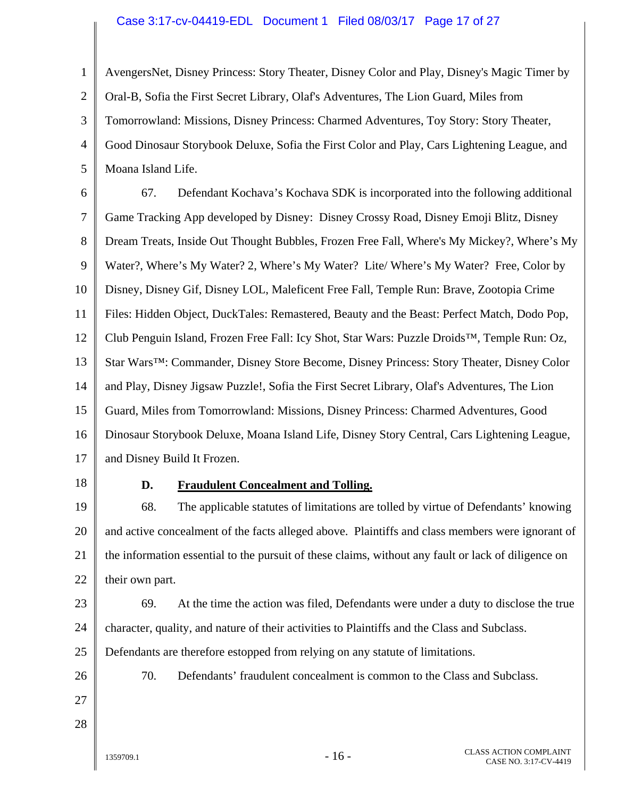#### Case 3:17-cv-04419-EDL Document 1 Filed 08/03/17 Page 17 of 27

1 2 3 4 5 AvengersNet, Disney Princess: Story Theater, Disney Color and Play, Disney's Magic Timer by Oral-B, Sofia the First Secret Library, Olaf's Adventures, The Lion Guard, Miles from Tomorrowland: Missions, Disney Princess: Charmed Adventures, Toy Story: Story Theater, Good Dinosaur Storybook Deluxe, Sofia the First Color and Play, Cars Lightening League, and Moana Island Life.

6 7 8 9 10 11 12 13 14 15 16 17 67. Defendant Kochava's Kochava SDK is incorporated into the following additional Game Tracking App developed by Disney: Disney Crossy Road, Disney Emoji Blitz, Disney Dream Treats, Inside Out Thought Bubbles, Frozen Free Fall, Where's My Mickey?, Where's My Water?, Where's My Water? 2, Where's My Water? Lite/ Where's My Water? Free, Color by Disney, Disney Gif, Disney LOL, Maleficent Free Fall, Temple Run: Brave, Zootopia Crime Files: Hidden Object, DuckTales: Remastered, Beauty and the Beast: Perfect Match, Dodo Pop, Club Penguin Island, Frozen Free Fall: Icy Shot, Star Wars: Puzzle Droids™, Temple Run: Oz, Star Wars™: Commander, Disney Store Become, Disney Princess: Story Theater, Disney Color and Play, Disney Jigsaw Puzzle!, Sofia the First Secret Library, Olaf's Adventures, The Lion Guard, Miles from Tomorrowland: Missions, Disney Princess: Charmed Adventures, Good Dinosaur Storybook Deluxe, Moana Island Life, Disney Story Central, Cars Lightening League, and Disney Build It Frozen.

18

#### **D. Fraudulent Concealment and Tolling.**

19 20 21 22 68. The applicable statutes of limitations are tolled by virtue of Defendants' knowing and active concealment of the facts alleged above. Plaintiffs and class members were ignorant of the information essential to the pursuit of these claims, without any fault or lack of diligence on their own part.

23

24

25

69. At the time the action was filed, Defendants were under a duty to disclose the true character, quality, and nature of their activities to Plaintiffs and the Class and Subclass. Defendants are therefore estopped from relying on any statute of limitations.

26

70. Defendants' fraudulent concealment is common to the Class and Subclass.

- 27 28
-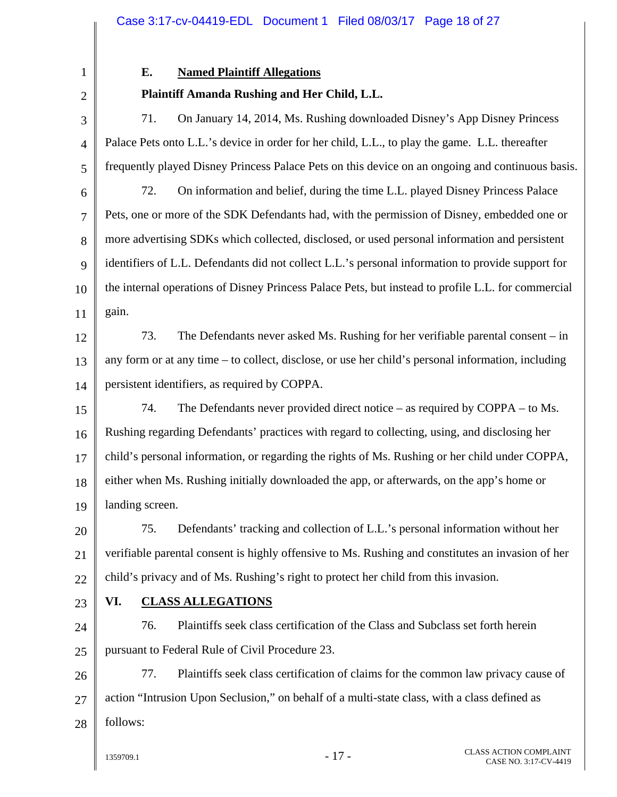1 2

## **E. Named Plaintiff Allegations**

## **Plaintiff Amanda Rushing and Her Child, L.L.**

3 4 5 6 7 8 9 10 11 12 13 14 15 16 17 18 19 20 21 22 23 24 25 71. On January 14, 2014, Ms. Rushing downloaded Disney's App Disney Princess Palace Pets onto L.L.'s device in order for her child, L.L., to play the game. L.L. thereafter frequently played Disney Princess Palace Pets on this device on an ongoing and continuous basis. 72. On information and belief, during the time L.L. played Disney Princess Palace Pets, one or more of the SDK Defendants had, with the permission of Disney, embedded one or more advertising SDKs which collected, disclosed, or used personal information and persistent identifiers of L.L. Defendants did not collect L.L.'s personal information to provide support for the internal operations of Disney Princess Palace Pets, but instead to profile L.L. for commercial gain. 73. The Defendants never asked Ms. Rushing for her verifiable parental consent – in any form or at any time – to collect, disclose, or use her child's personal information, including persistent identifiers, as required by COPPA. 74. The Defendants never provided direct notice – as required by COPPA – to Ms. Rushing regarding Defendants' practices with regard to collecting, using, and disclosing her child's personal information, or regarding the rights of Ms. Rushing or her child under COPPA, either when Ms. Rushing initially downloaded the app, or afterwards, on the app's home or landing screen. 75. Defendants' tracking and collection of L.L.'s personal information without her verifiable parental consent is highly offensive to Ms. Rushing and constitutes an invasion of her child's privacy and of Ms. Rushing's right to protect her child from this invasion. **VI. CLASS ALLEGATIONS**  76. Plaintiffs seek class certification of the Class and Subclass set forth herein pursuant to Federal Rule of Civil Procedure 23.

26 27 28 77. Plaintiffs seek class certification of claims for the common law privacy cause of action "Intrusion Upon Seclusion," on behalf of a multi-state class, with a class defined as follows: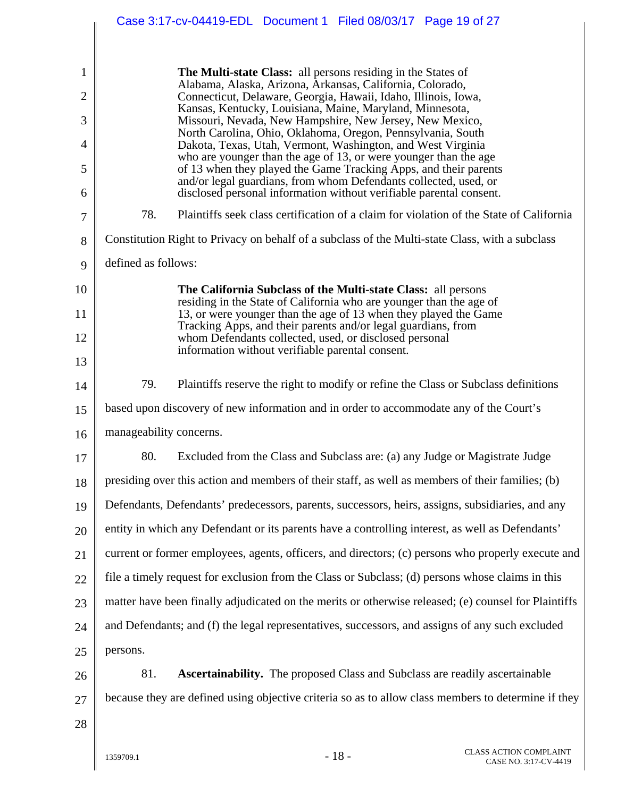|              | Case 3:17-cv-04419-EDL Document 1 Filed 08/03/17 Page 19 of 27                                                                          |
|--------------|-----------------------------------------------------------------------------------------------------------------------------------------|
|              |                                                                                                                                         |
| $\mathbf{1}$ | <b>The Multi-state Class:</b> all persons residing in the States of<br>Alabama, Alaska, Arizona, Arkansas, California, Colorado,        |
| 2            | Connecticut, Delaware, Georgia, Hawaii, Idaho, Illinois, Iowa,<br>Kansas, Kentucky, Louisiana, Maine, Maryland, Minnesota,              |
| 3            | Missouri, Nevada, New Hampshire, New Jersey, New Mexico,<br>North Carolina, Ohio, Oklahoma, Oregon, Pennsylvania, South                 |
| 4            | Dakota, Texas, Utah, Vermont, Washington, and West Virginia<br>who are younger than the age of 13, or were younger than the age         |
| 5            | of 13 when they played the Game Tracking Apps, and their parents<br>and/or legal guardians, from whom Defendants collected, used, or    |
| 6            | disclosed personal information without verifiable parental consent.                                                                     |
| 7            | 78.<br>Plaintiffs seek class certification of a claim for violation of the State of California                                          |
| 8            | Constitution Right to Privacy on behalf of a subclass of the Multi-state Class, with a subclass                                         |
| 9            | defined as follows:                                                                                                                     |
| 10           | The California Subclass of the Multi-state Class: all persons                                                                           |
| 11           | residing in the State of California who are younger than the age of<br>13, or were younger than the age of 13 when they played the Game |
| 12           | Tracking Apps, and their parents and/or legal guardians, from<br>whom Defendants collected, used, or disclosed personal                 |
| 13           | information without verifiable parental consent.                                                                                        |
| 14           | 79.<br>Plaintiffs reserve the right to modify or refine the Class or Subclass definitions                                               |
| 15           | based upon discovery of new information and in order to accommodate any of the Court's                                                  |
| 16           | manageability concerns.                                                                                                                 |
| 17           | 80.<br>Excluded from the Class and Subclass are: (a) any Judge or Magistrate Judge                                                      |
| 18           | presiding over this action and members of their staff, as well as members of their families; (b)                                        |
| 19           | Defendants, Defendants' predecessors, parents, successors, heirs, assigns, subsidiaries, and any                                        |
| 20           | entity in which any Defendant or its parents have a controlling interest, as well as Defendants'                                        |
| 21           | current or former employees, agents, officers, and directors; (c) persons who properly execute and                                      |
| 22           | file a timely request for exclusion from the Class or Subclass; (d) persons whose claims in this                                        |
| 23           | matter have been finally adjudicated on the merits or otherwise released; (e) counsel for Plaintiffs                                    |
| 24           | and Defendants; and (f) the legal representatives, successors, and assigns of any such excluded                                         |
| 25           | persons.                                                                                                                                |
| 26           | 81.<br><b>Ascertainability.</b> The proposed Class and Subclass are readily ascertainable                                               |
| 27           | because they are defined using objective criteria so as to allow class members to determine if they                                     |
| 28           |                                                                                                                                         |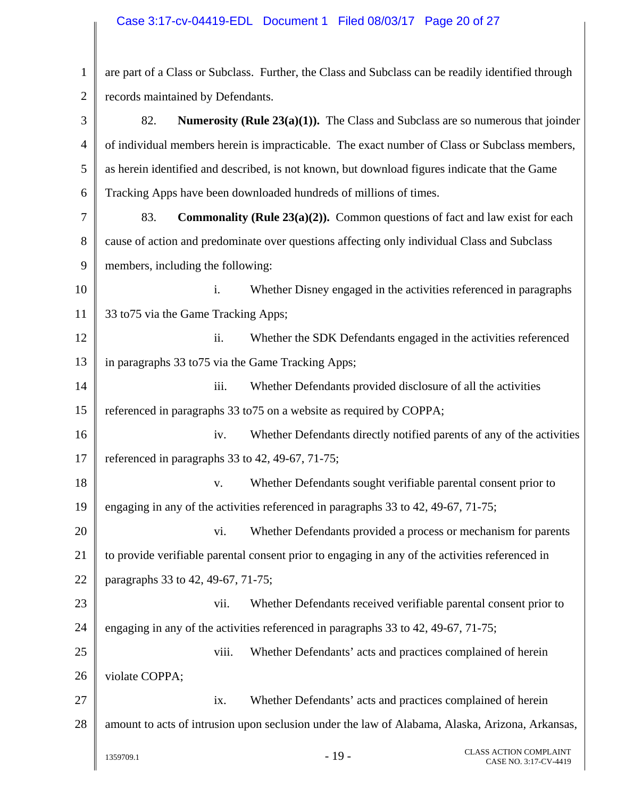# Case 3:17-cv-04419-EDL Document 1 Filed 08/03/17 Page 20 of 27

| $\mathbf{1}$   | are part of a Class or Subclass. Further, the Class and Subclass can be readily identified through |
|----------------|----------------------------------------------------------------------------------------------------|
| $\overline{2}$ | records maintained by Defendants.                                                                  |
| 3              | 82.<br><b>Numerosity (Rule 23(a)(1)).</b> The Class and Subclass are so numerous that joinder      |
| 4              | of individual members herein is impracticable. The exact number of Class or Subclass members,      |
| 5              | as herein identified and described, is not known, but download figures indicate that the Game      |
| 6              | Tracking Apps have been downloaded hundreds of millions of times.                                  |
| 7              | 83.<br><b>Commonality (Rule 23(a)(2)).</b> Common questions of fact and law exist for each         |
| 8              | cause of action and predominate over questions affecting only individual Class and Subclass        |
| 9              | members, including the following:                                                                  |
| 10             | i.<br>Whether Disney engaged in the activities referenced in paragraphs                            |
| 11             | 33 to 75 via the Game Tracking Apps;                                                               |
| 12             | ii.<br>Whether the SDK Defendants engaged in the activities referenced                             |
| 13             | in paragraphs 33 to 75 via the Game Tracking Apps;                                                 |
| 14             | iii.<br>Whether Defendants provided disclosure of all the activities                               |
| 15             | referenced in paragraphs 33 to 75 on a website as required by COPPA;                               |
| 16             | Whether Defendants directly notified parents of any of the activities<br>iv.                       |
| 17             | referenced in paragraphs 33 to 42, 49-67, 71-75;                                                   |
| 18             | Whether Defendants sought verifiable parental consent prior to<br>V.                               |
| 19             | engaging in any of the activities referenced in paragraphs 33 to 42, 49-67, 71-75;                 |
| 20             | Whether Defendants provided a process or mechanism for parents<br>vi.                              |
| 21             | to provide verifiable parental consent prior to engaging in any of the activities referenced in    |
| 22             | paragraphs 33 to 42, 49-67, 71-75;                                                                 |
| 23             | Whether Defendants received verifiable parental consent prior to<br>vii.                           |
| 24             | engaging in any of the activities referenced in paragraphs 33 to 42, 49-67, 71-75;                 |
| 25             | viii.<br>Whether Defendants' acts and practices complained of herein                               |
| 26             | violate COPPA;                                                                                     |
| 27             | Whether Defendants' acts and practices complained of herein<br>ix.                                 |
| 28             | amount to acts of intrusion upon seclusion under the law of Alabama, Alaska, Arizona, Arkansas,    |
|                | <b>CLASS ACTION COMPLAINT</b><br>$-19-$<br>1359709.1<br>CASE NO. 3:17-CV-4419                      |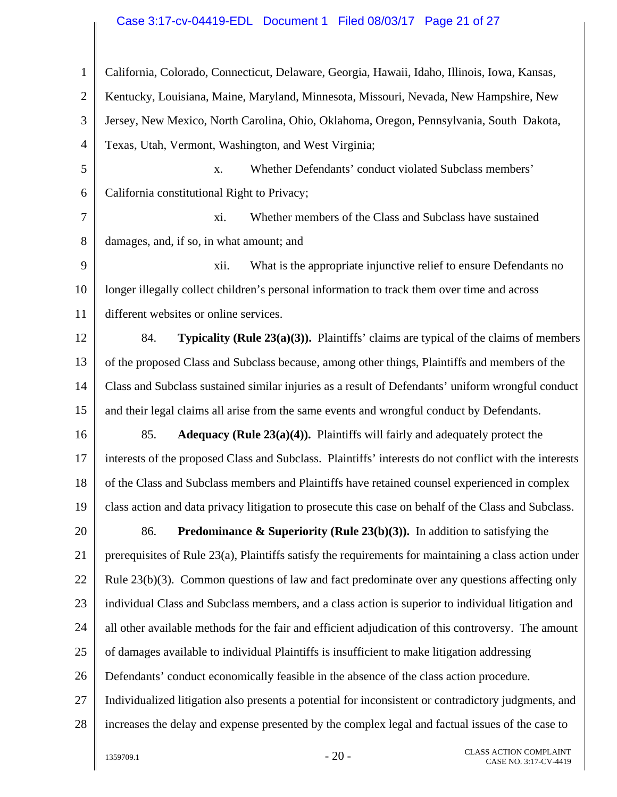## Case 3:17-cv-04419-EDL Document 1 Filed 08/03/17 Page 21 of 27

| $\mathbf{1}$   | California, Colorado, Connecticut, Delaware, Georgia, Hawaii, Idaho, Illinois, Iowa, Kansas,           |
|----------------|--------------------------------------------------------------------------------------------------------|
| $\overline{2}$ | Kentucky, Louisiana, Maine, Maryland, Minnesota, Missouri, Nevada, New Hampshire, New                  |
| 3              | Jersey, New Mexico, North Carolina, Ohio, Oklahoma, Oregon, Pennsylvania, South Dakota,                |
| $\overline{4}$ | Texas, Utah, Vermont, Washington, and West Virginia;                                                   |
| 5              | Whether Defendants' conduct violated Subclass members'<br>X.                                           |
| 6              | California constitutional Right to Privacy;                                                            |
| 7              | Whether members of the Class and Subclass have sustained<br>xi.                                        |
| 8              | damages, and, if so, in what amount; and                                                               |
| 9              | What is the appropriate injunctive relief to ensure Defendants no<br>xii.                              |
| 10             | longer illegally collect children's personal information to track them over time and across            |
| 11             | different websites or online services.                                                                 |
| 12             | <b>Typicality (Rule 23(a)(3)).</b> Plaintiffs' claims are typical of the claims of members<br>84.      |
| 13             | of the proposed Class and Subclass because, among other things, Plaintiffs and members of the          |
| 14             | Class and Subclass sustained similar injuries as a result of Defendants' uniform wrongful conduct      |
| 15             | and their legal claims all arise from the same events and wrongful conduct by Defendants.              |
| 16             | Adequacy (Rule $23(a)(4)$ ). Plaintiffs will fairly and adequately protect the<br>85.                  |
| 17             | interests of the proposed Class and Subclass. Plaintiffs' interests do not conflict with the interests |
| 18             | of the Class and Subclass members and Plaintiffs have retained counsel experienced in complex          |
| 19             | class action and data privacy litigation to prosecute this case on behalf of the Class and Subclass.   |
| 20             | <b>Predominance &amp; Superiority (Rule 23(b)(3)).</b> In addition to satisfying the<br>86.            |
| 21             | prerequisites of Rule 23(a), Plaintiffs satisfy the requirements for maintaining a class action under  |
| 22             | Rule $23(b)(3)$ . Common questions of law and fact predominate over any questions affecting only       |
| 23             | individual Class and Subclass members, and a class action is superior to individual litigation and     |
| 24             | all other available methods for the fair and efficient adjudication of this controversy. The amount    |
| 25             | of damages available to individual Plaintiffs is insufficient to make litigation addressing            |
| 26             | Defendants' conduct economically feasible in the absence of the class action procedure.                |
| 27             | Individualized litigation also presents a potential for inconsistent or contradictory judgments, and   |
| 28             | increases the delay and expense presented by the complex legal and factual issues of the case to       |
|                | <b>CLASS ACTION COMPLAINT</b><br>$-20-$<br>1359709.1<br>CASE NO. 3:17-CV-4419                          |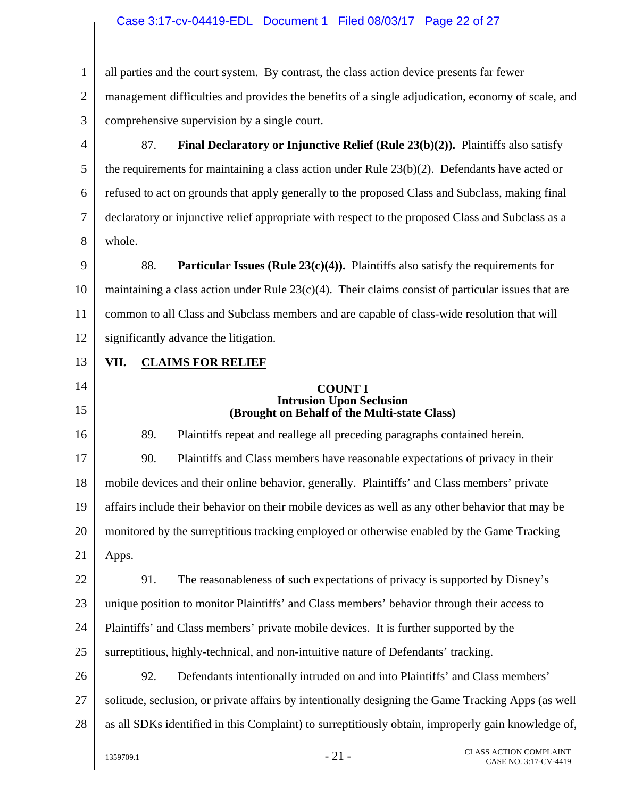## Case 3:17-cv-04419-EDL Document 1 Filed 08/03/17 Page 22 of 27

| $\mathbf{1}$   | all parties and the court system. By contrast, the class action device presents far fewer             |
|----------------|-------------------------------------------------------------------------------------------------------|
| $\overline{2}$ | management difficulties and provides the benefits of a single adjudication, economy of scale, and     |
| 3              | comprehensive supervision by a single court.                                                          |
| $\overline{4}$ | 87.<br>Final Declaratory or Injunctive Relief (Rule 23(b)(2)). Plaintiffs also satisfy                |
| 5              | the requirements for maintaining a class action under Rule $23(b)(2)$ . Defendants have acted or      |
| 6              | refused to act on grounds that apply generally to the proposed Class and Subclass, making final       |
| 7              | declaratory or injunctive relief appropriate with respect to the proposed Class and Subclass as a     |
| 8              | whole.                                                                                                |
| 9              | 88.<br><b>Particular Issues (Rule 23(c)(4)).</b> Plaintiffs also satisfy the requirements for         |
| 10             | maintaining a class action under Rule $23(c)(4)$ . Their claims consist of particular issues that are |
| 11             | common to all Class and Subclass members and are capable of class-wide resolution that will           |
| 12             | significantly advance the litigation.                                                                 |
| 13             | VII.<br><b>CLAIMS FOR RELIEF</b>                                                                      |
| 14             | <b>COUNT I</b>                                                                                        |
| 15             | <b>Intrusion Upon Seclusion</b><br>(Brought on Behalf of the Multi-state Class)                       |
| 16             | 89.<br>Plaintiffs repeat and reallege all preceding paragraphs contained herein.                      |
| 17             | 90.<br>Plaintiffs and Class members have reasonable expectations of privacy in their                  |
| 18             | mobile devices and their online behavior, generally. Plaintiffs' and Class members' private           |
| 19             | affairs include their behavior on their mobile devices as well as any other behavior that may be      |
| 20             | monitored by the surreptitious tracking employed or otherwise enabled by the Game Tracking            |
| 21             | Apps.                                                                                                 |
| 22             | The reasonableness of such expectations of privacy is supported by Disney's<br>91.                    |
| 23             | unique position to monitor Plaintiffs' and Class members' behavior through their access to            |
| 24             | Plaintiffs' and Class members' private mobile devices. It is further supported by the                 |
| 25             | surreptitious, highly-technical, and non-intuitive nature of Defendants' tracking.                    |
| 26             | Defendants intentionally intruded on and into Plaintiffs' and Class members'<br>92.                   |
|                |                                                                                                       |
| 27             | solitude, seclusion, or private affairs by intentionally designing the Game Tracking Apps (as well    |
| 28             | as all SDKs identified in this Complaint) to surreptitiously obtain, improperly gain knowledge of,    |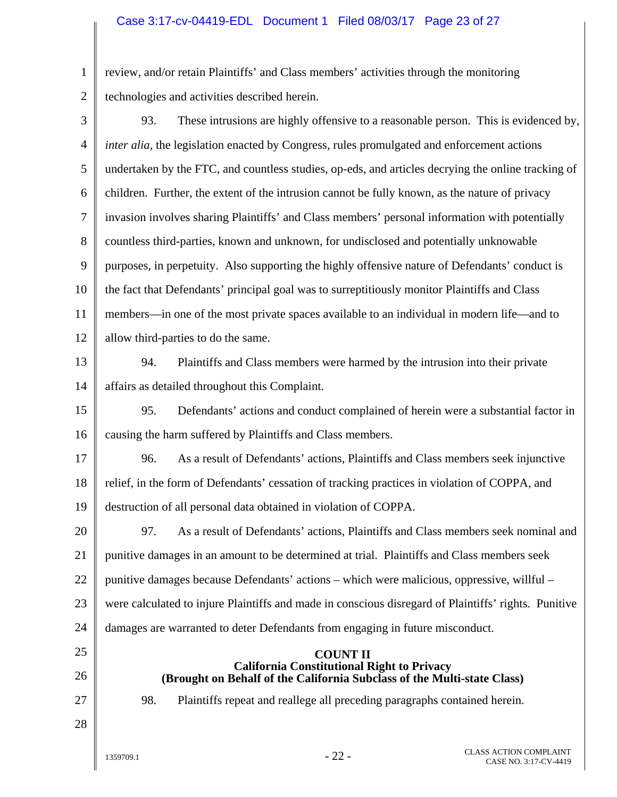#### Case 3:17-cv-04419-EDL Document 1 Filed 08/03/17 Page 23 of 27

1 2 review, and/or retain Plaintiffs' and Class members' activities through the monitoring technologies and activities described herein.

3 4 5 6 7 8 9 10 11 12 13 14 15 16 17 18 19 20 21 22 23 24 25 26 27 28  $1359709.1$  - 22 - CLASS ACTION COMPLAINT 93. These intrusions are highly offensive to a reasonable person. This is evidenced by, *inter alia*, the legislation enacted by Congress, rules promulgated and enforcement actions undertaken by the FTC, and countless studies, op-eds, and articles decrying the online tracking of children. Further, the extent of the intrusion cannot be fully known, as the nature of privacy invasion involves sharing Plaintiffs' and Class members' personal information with potentially countless third-parties, known and unknown, for undisclosed and potentially unknowable purposes, in perpetuity. Also supporting the highly offensive nature of Defendants' conduct is the fact that Defendants' principal goal was to surreptitiously monitor Plaintiffs and Class members—in one of the most private spaces available to an individual in modern life—and to allow third-parties to do the same. 94. Plaintiffs and Class members were harmed by the intrusion into their private affairs as detailed throughout this Complaint. 95. Defendants' actions and conduct complained of herein were a substantial factor in causing the harm suffered by Plaintiffs and Class members. 96. As a result of Defendants' actions, Plaintiffs and Class members seek injunctive relief, in the form of Defendants' cessation of tracking practices in violation of COPPA, and destruction of all personal data obtained in violation of COPPA. 97. As a result of Defendants' actions, Plaintiffs and Class members seek nominal and punitive damages in an amount to be determined at trial. Plaintiffs and Class members seek punitive damages because Defendants' actions – which were malicious, oppressive, willful – were calculated to injure Plaintiffs and made in conscious disregard of Plaintiffs' rights. Punitive damages are warranted to deter Defendants from engaging in future misconduct. **COUNT II California Constitutional Right to Privacy (Brought on Behalf of the California Subclass of the Multi-state Class)**  98. Plaintiffs repeat and reallege all preceding paragraphs contained herein.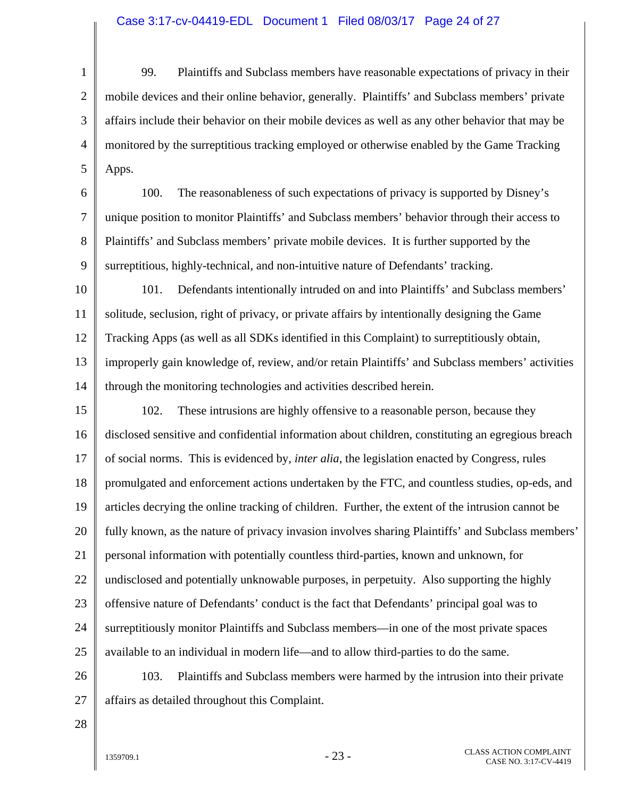#### Case 3:17-cv-04419-EDL Document 1 Filed 08/03/17 Page 24 of 27

1 2 3 4 5 99. Plaintiffs and Subclass members have reasonable expectations of privacy in their mobile devices and their online behavior, generally. Plaintiffs' and Subclass members' private affairs include their behavior on their mobile devices as well as any other behavior that may be monitored by the surreptitious tracking employed or otherwise enabled by the Game Tracking Apps.

6 7 8 9 100. The reasonableness of such expectations of privacy is supported by Disney's unique position to monitor Plaintiffs' and Subclass members' behavior through their access to Plaintiffs' and Subclass members' private mobile devices. It is further supported by the surreptitious, highly-technical, and non-intuitive nature of Defendants' tracking.

10 11 12 13 14 101. Defendants intentionally intruded on and into Plaintiffs' and Subclass members' solitude, seclusion, right of privacy, or private affairs by intentionally designing the Game Tracking Apps (as well as all SDKs identified in this Complaint) to surreptitiously obtain, improperly gain knowledge of, review, and/or retain Plaintiffs' and Subclass members' activities through the monitoring technologies and activities described herein.

15 16 17 18 19 20 21 22 23 24 25 102. These intrusions are highly offensive to a reasonable person, because they disclosed sensitive and confidential information about children, constituting an egregious breach of social norms. This is evidenced by, *inter alia*, the legislation enacted by Congress, rules promulgated and enforcement actions undertaken by the FTC, and countless studies, op-eds, and articles decrying the online tracking of children. Further, the extent of the intrusion cannot be fully known, as the nature of privacy invasion involves sharing Plaintiffs' and Subclass members' personal information with potentially countless third-parties, known and unknown, for undisclosed and potentially unknowable purposes, in perpetuity. Also supporting the highly offensive nature of Defendants' conduct is the fact that Defendants' principal goal was to surreptitiously monitor Plaintiffs and Subclass members—in one of the most private spaces available to an individual in modern life—and to allow third-parties to do the same.

26 27 103. Plaintiffs and Subclass members were harmed by the intrusion into their private affairs as detailed throughout this Complaint.

28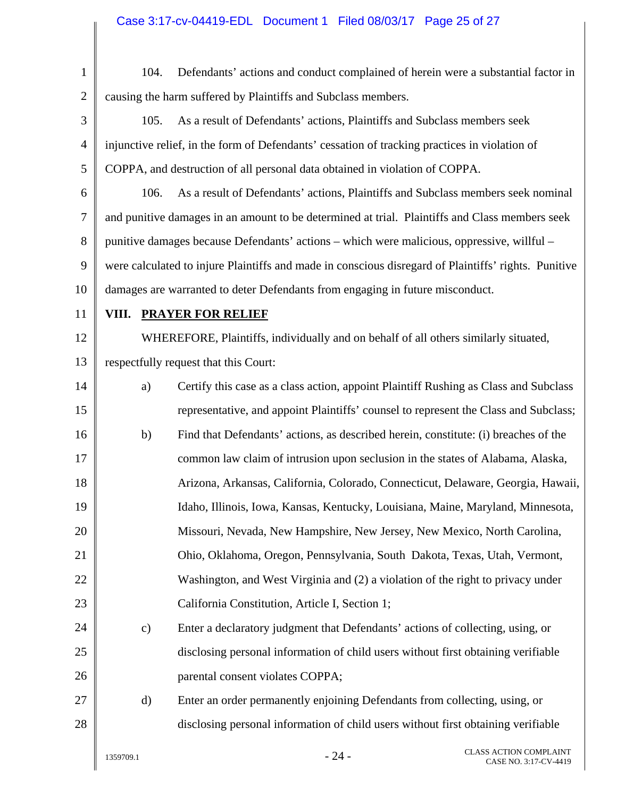| $\mathbf{1}$   | 104.                                                                                                 | Defendants' actions and conduct complained of herein were a substantial factor in    |                                                        |  |  |
|----------------|------------------------------------------------------------------------------------------------------|--------------------------------------------------------------------------------------|--------------------------------------------------------|--|--|
| $\overline{2}$ | causing the harm suffered by Plaintiffs and Subclass members.                                        |                                                                                      |                                                        |  |  |
| $\mathfrak{Z}$ | As a result of Defendants' actions, Plaintiffs and Subclass members seek<br>105.                     |                                                                                      |                                                        |  |  |
| 4              | injunctive relief, in the form of Defendants' cessation of tracking practices in violation of        |                                                                                      |                                                        |  |  |
| 5              | COPPA, and destruction of all personal data obtained in violation of COPPA.                          |                                                                                      |                                                        |  |  |
| 6              | 106.                                                                                                 | As a result of Defendants' actions, Plaintiffs and Subclass members seek nominal     |                                                        |  |  |
| 7              | and punitive damages in an amount to be determined at trial. Plaintiffs and Class members seek       |                                                                                      |                                                        |  |  |
| 8              | punitive damages because Defendants' actions – which were malicious, oppressive, willful –           |                                                                                      |                                                        |  |  |
| 9              | were calculated to injure Plaintiffs and made in conscious disregard of Plaintiffs' rights. Punitive |                                                                                      |                                                        |  |  |
| 10             | damages are warranted to deter Defendants from engaging in future misconduct.                        |                                                                                      |                                                        |  |  |
| 11             |                                                                                                      | VIII. PRAYER FOR RELIEF                                                              |                                                        |  |  |
| 12             |                                                                                                      | WHEREFORE, Plaintiffs, individually and on behalf of all others similarly situated,  |                                                        |  |  |
| 13             | respectfully request that this Court:                                                                |                                                                                      |                                                        |  |  |
| 14             | a)                                                                                                   | Certify this case as a class action, appoint Plaintiff Rushing as Class and Subclass |                                                        |  |  |
| 15             |                                                                                                      | representative, and appoint Plaintiffs' counsel to represent the Class and Subclass; |                                                        |  |  |
| 16             | b)                                                                                                   | Find that Defendants' actions, as described herein, constitute: (i) breaches of the  |                                                        |  |  |
| 17             |                                                                                                      | common law claim of intrusion upon seclusion in the states of Alabama, Alaska,       |                                                        |  |  |
| 18             |                                                                                                      | Arizona, Arkansas, California, Colorado, Connecticut, Delaware, Georgia, Hawaii,     |                                                        |  |  |
| 19             |                                                                                                      | Idaho, Illinois, Iowa, Kansas, Kentucky, Louisiana, Maine, Maryland, Minnesota,      |                                                        |  |  |
| 20             |                                                                                                      | Missouri, Nevada, New Hampshire, New Jersey, New Mexico, North Carolina,             |                                                        |  |  |
| 21             |                                                                                                      | Ohio, Oklahoma, Oregon, Pennsylvania, South Dakota, Texas, Utah, Vermont,            |                                                        |  |  |
| 22             |                                                                                                      | Washington, and West Virginia and (2) a violation of the right to privacy under      |                                                        |  |  |
| 23             |                                                                                                      | California Constitution, Article I, Section 1;                                       |                                                        |  |  |
| 24             | $\mathbf{c})$                                                                                        | Enter a declaratory judgment that Defendants' actions of collecting, using, or       |                                                        |  |  |
| 25             |                                                                                                      | disclosing personal information of child users without first obtaining verifiable    |                                                        |  |  |
| 26             |                                                                                                      | parental consent violates COPPA;                                                     |                                                        |  |  |
| 27             | $\mathbf{d}$                                                                                         | Enter an order permanently enjoining Defendants from collecting, using, or           |                                                        |  |  |
| 28             |                                                                                                      | disclosing personal information of child users without first obtaining verifiable    |                                                        |  |  |
|                | 1359709.1                                                                                            | $-24-$                                                                               | <b>CLASS ACTION COMPLAINT</b><br>CASE NO. 3:17-CV-4419 |  |  |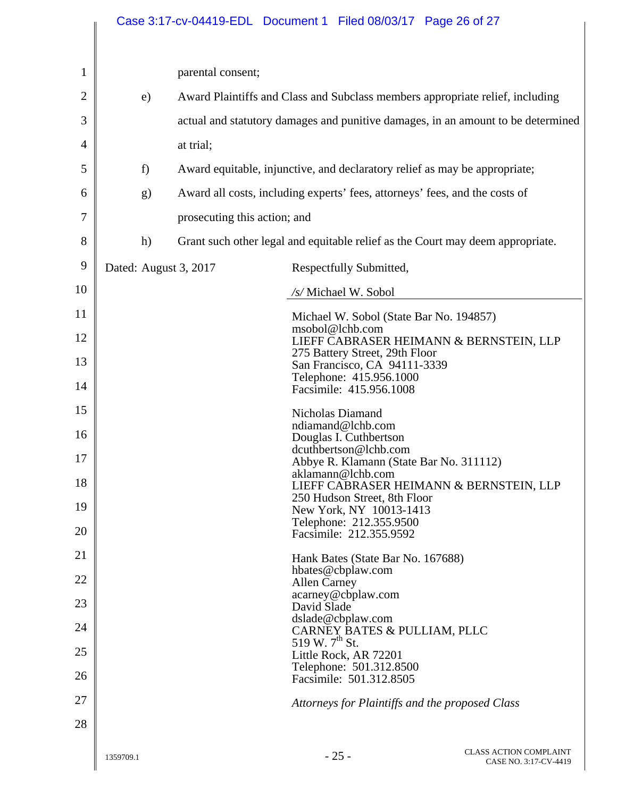|                | Case 3:17-cv-04419-EDL Document 1 Filed 08/03/17 Page 26 of 27 |                                                                                  |                                                                                |                                                        |  |  |
|----------------|----------------------------------------------------------------|----------------------------------------------------------------------------------|--------------------------------------------------------------------------------|--------------------------------------------------------|--|--|
|                |                                                                |                                                                                  |                                                                                |                                                        |  |  |
| $\mathbf{1}$   |                                                                | parental consent;                                                                |                                                                                |                                                        |  |  |
| $\overline{2}$ | e)                                                             | Award Plaintiffs and Class and Subclass members appropriate relief, including    |                                                                                |                                                        |  |  |
| 3              |                                                                | actual and statutory damages and punitive damages, in an amount to be determined |                                                                                |                                                        |  |  |
| 4              |                                                                | at trial;                                                                        |                                                                                |                                                        |  |  |
| 5              | f)                                                             | Award equitable, injunctive, and declaratory relief as may be appropriate;       |                                                                                |                                                        |  |  |
| 6              | g)                                                             | Award all costs, including experts' fees, attorneys' fees, and the costs of      |                                                                                |                                                        |  |  |
| 7              |                                                                | prosecuting this action; and                                                     |                                                                                |                                                        |  |  |
| 8              | h)                                                             |                                                                                  | Grant such other legal and equitable relief as the Court may deem appropriate. |                                                        |  |  |
| 9              | Dated: August 3, 2017                                          |                                                                                  | Respectfully Submitted,                                                        |                                                        |  |  |
| 10             |                                                                |                                                                                  | /s/ Michael W. Sobol                                                           |                                                        |  |  |
| 11             |                                                                |                                                                                  | Michael W. Sobol (State Bar No. 194857)                                        |                                                        |  |  |
| 12             |                                                                |                                                                                  | msobol@lchb.com<br>LIEFF CABRASER HEIMANN & BERNSTEIN, LLP                     |                                                        |  |  |
| 13             |                                                                |                                                                                  | 275 Battery Street, 29th Floor<br>San Francisco, CA 94111-3339                 |                                                        |  |  |
| 14             |                                                                |                                                                                  | Telephone: 415.956.1000<br>Facsimile: 415.956.1008                             |                                                        |  |  |
| 15             |                                                                |                                                                                  | Nicholas Diamand<br>ndiamand@lchb.com                                          |                                                        |  |  |
| 16             |                                                                |                                                                                  | Douglas I. Cuthbertson<br>dcuthbertson@lchb.com                                |                                                        |  |  |
| 17             |                                                                |                                                                                  | Abbye R. Klamann (State Bar No. 311112)<br>aklamann@lchb.com                   |                                                        |  |  |
| 18             |                                                                |                                                                                  | LIEFF CABRASER HEIMANN & BERNSTEIN, LLP<br>250 Hudson Street, 8th Floor        |                                                        |  |  |
| 19             |                                                                |                                                                                  | New York, NY 10013-1413                                                        |                                                        |  |  |
| 20             |                                                                |                                                                                  | Telephone: 212.355.9500<br>Facsimile: 212.355.9592                             |                                                        |  |  |
| 21             |                                                                |                                                                                  | Hank Bates (State Bar No. 167688)                                              |                                                        |  |  |
| 22             |                                                                |                                                                                  | hbates@cbplaw.com<br><b>Allen Carney</b><br>acarney@cbplaw.com                 |                                                        |  |  |
| 23             |                                                                |                                                                                  | David Slade<br>dslade@cbplaw.com                                               |                                                        |  |  |
| 24             |                                                                |                                                                                  | CARNEY BATES & PULLIAM, PLLC<br>519 W. 7 <sup>th</sup> St.                     |                                                        |  |  |
| 25             |                                                                |                                                                                  | Little Rock, AR 72201<br>Telephone: 501.312.8500                               |                                                        |  |  |
| 26             |                                                                |                                                                                  | Facsimile: 501.312.8505                                                        |                                                        |  |  |
| 27             |                                                                | Attorneys for Plaintiffs and the proposed Class                                  |                                                                                |                                                        |  |  |
| 28             |                                                                |                                                                                  |                                                                                |                                                        |  |  |
|                | 1359709.1                                                      |                                                                                  | $-25-$                                                                         | <b>CLASS ACTION COMPLAINT</b><br>CASE NO. 3:17-CV-4419 |  |  |